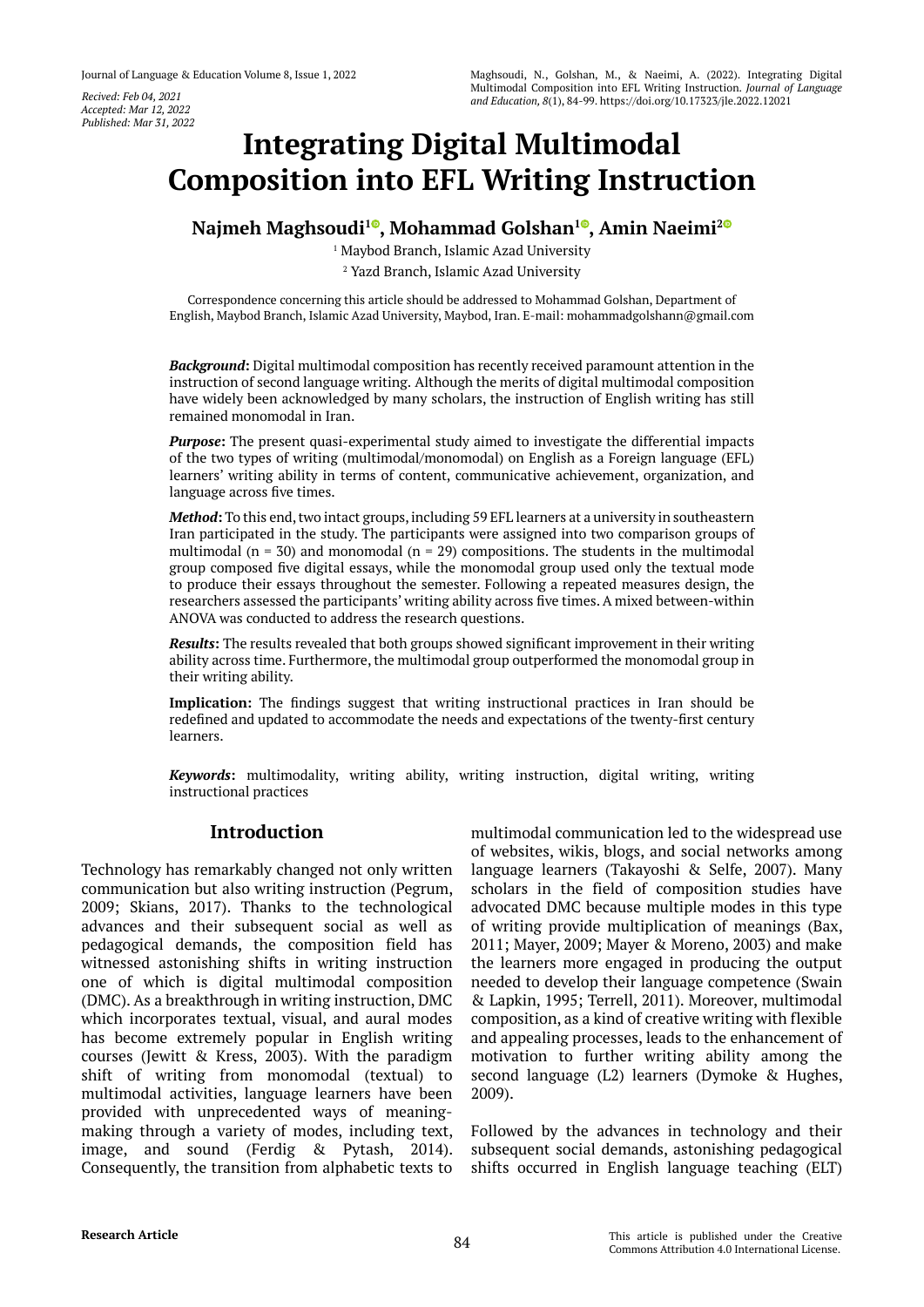*Accepted: Mar 12, 2022 Published: Mar 31, 2022*

# **Integrating Digital Multimodal Composition into EFL Writing Instruction**

**Najmeh Maghsoudi<sup>10</sup>[,](https://orcid.org/0000-0001-7114-4376) Mohammad Golshan<sup>10</sup>, Amin Naeimi<sup>[2](https://orcid.org/0000-0002-8900-9989)0</sup>** 

1 Maybod Branch, Islamic Azad University 2 Yazd Branch, Islamic Azad University

Correspondence concerning this article should be addressed to Mohammad Golshan, Department of English, Maybod Branch, Islamic Azad University, Maybod, Iran. E-mail: mohammadgolshann@gmail.com

*Background***:** Digital multimodal composition has recently received paramount attention in the instruction of second language writing. Although the merits of digital multimodal composition have widely been acknowledged by many scholars, the instruction of English writing has still remained monomodal in Iran.

*Purpose***:** The present quasi-experimental study aimed to investigate the differential impacts of the two types of writing (multimodal/monomodal) on English as a Foreign language (EFL) learners' writing ability in terms of content, communicative achievement, organization, and language across five times.

*Method***:** To this end, two intact groups, including 59 EFL learners at a university in southeastern Iran participated in the study. The participants were assigned into two comparison groups of multimodal ( $n = 30$ ) and monomodal ( $n = 29$ ) compositions. The students in the multimodal group composed five digital essays, while the monomodal group used only the textual mode to produce their essays throughout the semester. Following a repeated measures design, the researchers assessed the participants' writing ability across five times. A mixed between-within ANOVA was conducted to address the research questions.

*Results***:** The results revealed that both groups showed significant improvement in their writing ability across time. Furthermore, the multimodal group outperformed the monomodal group in their writing ability.

**Implication:** The findings suggest that writing instructional practices in Iran should be redefined and updated to accommodate the needs and expectations of the twenty-first century learners.

*Keywords***:** multimodality, writing ability, writing instruction, digital writing, writing instructional practices

## **Introduction**

Technology has remarkably changed not only written communication but also writing instruction (Pegrum, 2009; Skians, 2017). Thanks to the technological advances and their subsequent social as well as pedagogical demands, the composition field has witnessed astonishing shifts in writing instruction one of which is digital multimodal composition (DMC). As a breakthrough in writing instruction, DMC which incorporates textual, visual, and aural modes has become extremely popular in English writing courses (Jewitt & Kress, 2003). With the paradigm shift of writing from monomodal (textual) to multimodal activities, language learners have been provided with unprecedented ways of meaningmaking through a variety of modes, including text, image, and sound (Ferdig & Pytash, 2014). Consequently, the transition from alphabetic texts to

multimodal communication led to the widespread use of websites, wikis, blogs, and social networks among language learners (Takayoshi & Selfe, 2007). Many scholars in the field of composition studies have advocated DMC because multiple modes in this type of writing provide multiplication of meanings (Bax, 2011; Mayer, 2009; Mayer & Moreno, 2003) and make the learners more engaged in producing the output needed to develop their language competence (Swain & Lapkin, 1995; Terrell, 2011). Moreover, multimodal composition, as a kind of creative writing with flexible and appealing processes, leads to the enhancement of motivation to further writing ability among the second language (L2) learners (Dymoke & Hughes, 2009).

Followed by the advances in technology and their subsequent social demands, astonishing pedagogical shifts occurred in English language teaching (ELT)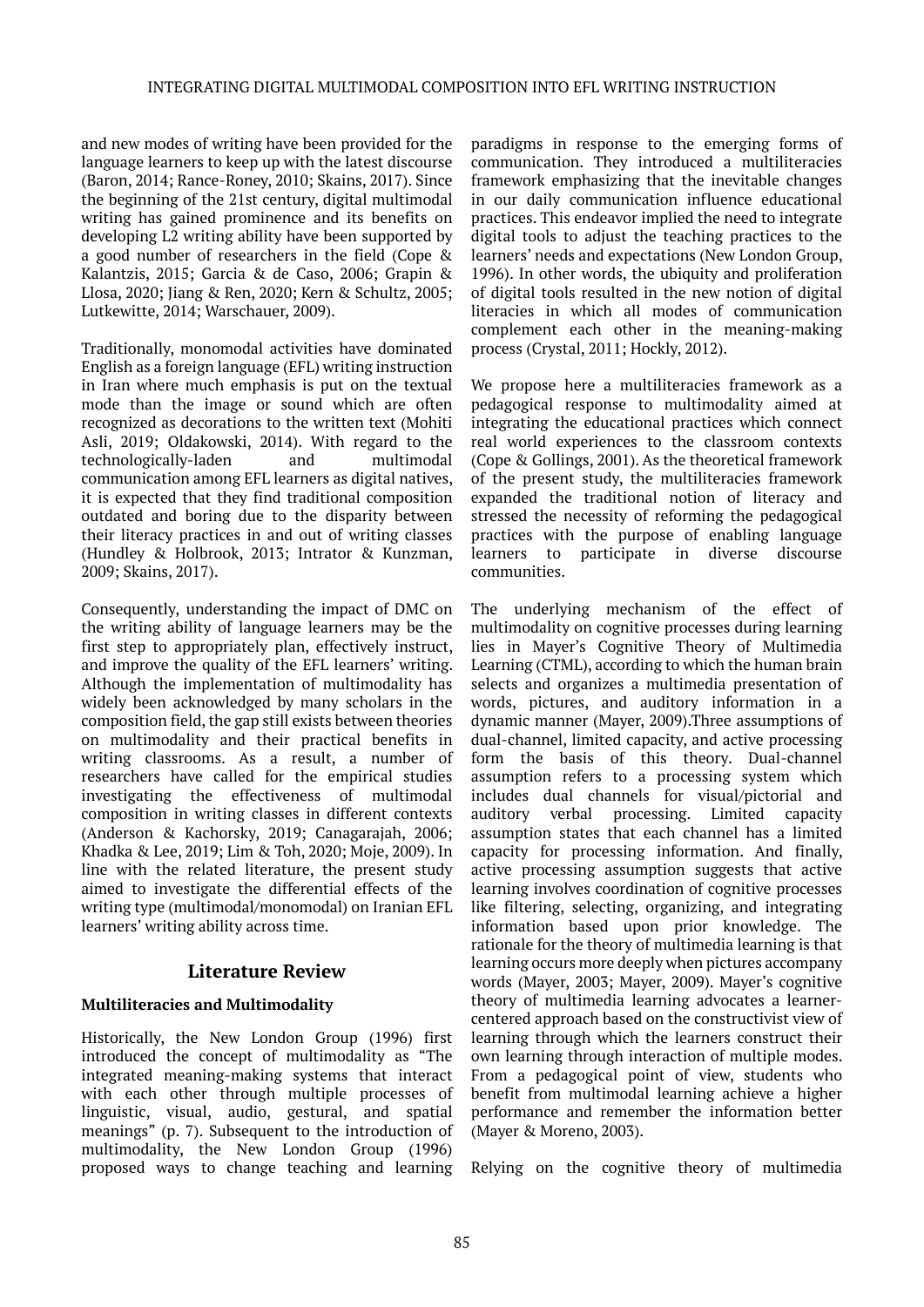and new modes of writing have been provided for the language learners to keep up with the latest discourse (Baron, 2014; Rance-Roney, 2010; Skains, 2017). Since the beginning of the 21st century, digital multimodal writing has gained prominence and its benefits on developing L2 writing ability have been supported by a good number of researchers in the field (Cope & Kalantzis, 2015; Garcia & de Caso, 2006; Grapin & Llosa, 2020; Jiang & Ren, 2020; Kern & Schultz, 2005; Lutkewitte, 2014; Warschauer, 2009).

Traditionally, monomodal activities have dominated English as a foreign language (EFL) writing instruction in Iran where much emphasis is put on the textual mode than the image or sound which are often recognized as decorations to the written text (Mohiti Asli, 2019; Oldakowski, 2014). With regard to the technologically-laden and multimodal communication among EFL learners as digital natives, it is expected that they find traditional composition outdated and boring due to the disparity between their literacy practices in and out of writing classes (Hundley & Holbrook, 2013; Intrator & Kunzman, 2009; Skains, 2017).

Consequently, understanding the impact of DMC on the writing ability of language learners may be the first step to appropriately plan, effectively instruct, and improve the quality of the EFL learners' writing. Although the implementation of multimodality has widely been acknowledged by many scholars in the composition field, the gap still exists between theories on multimodality and their practical benefits in writing classrooms. As a result, a number of researchers have called for the empirical studies investigating the effectiveness of multimodal composition in writing classes in different contexts (Anderson & Kachorsky, 2019; Canagarajah, 2006; Khadka & Lee, 2019; Lim & Toh, 2020; Moje, 2009). In line with the related literature, the present study aimed to investigate the differential effects of the writing type (multimodal/monomodal) on Iranian EFL learners' writing ability across time.

## **Literature Review**

## **Multiliteracies and Multimodality**

Historically, the New London Group (1996) first introduced the concept of multimodality as "The integrated meaning-making systems that interact with each other through multiple processes of linguistic, visual, audio, gestural, and spatial meanings" (p. 7). Subsequent to the introduction of multimodality, the New London Group (1996) proposed ways to change teaching and learning

paradigms in response to the emerging forms of communication. They introduced a multiliteracies framework emphasizing that the inevitable changes in our daily communication influence educational practices. This endeavor implied the need to integrate digital tools to adjust the teaching practices to the learners' needs and expectations (New London Group, 1996). In other words, the ubiquity and proliferation of digital tools resulted in the new notion of digital literacies in which all modes of communication complement each other in the meaning-making process (Crystal, 2011; Hockly, 2012).

We propose here a multiliteracies framework as a pedagogical response to multimodality aimed at integrating the educational practices which connect real world experiences to the classroom contexts (Cope & Gollings, 2001). As the theoretical framework of the present study, the multiliteracies framework expanded the traditional notion of literacy and stressed the necessity of reforming the pedagogical practices with the purpose of enabling language learners to participate in diverse discourse communities.

The underlying mechanism of the effect of multimodality on cognitive processes during learning lies in Mayer's Cognitive Theory of Multimedia Learning (CTML), according to which the human brain selects and organizes a multimedia presentation of words, pictures, and auditory information in a dynamic manner (Mayer, 2009).Three assumptions of dual-channel, limited capacity, and active processing form the basis of this theory. Dual-channel assumption refers to a processing system which includes dual channels for visual/pictorial and auditory verbal processing. Limited capacity assumption states that each channel has a limited capacity for processing information. And finally, active processing assumption suggests that active learning involves coordination of cognitive processes like filtering, selecting, organizing, and integrating information based upon prior knowledge. The rationale for the theory of multimedia learning is that learning occurs more deeply when pictures accompany words (Mayer, 2003; Mayer, 2009). Mayer's cognitive theory of multimedia learning advocates a learnercentered approach based on the constructivist view of learning through which the learners construct their own learning through interaction of multiple modes. From a pedagogical point of view, students who benefit from multimodal learning achieve a higher performance and remember the information better (Mayer & Moreno, 2003).

Relying on the cognitive theory of multimedia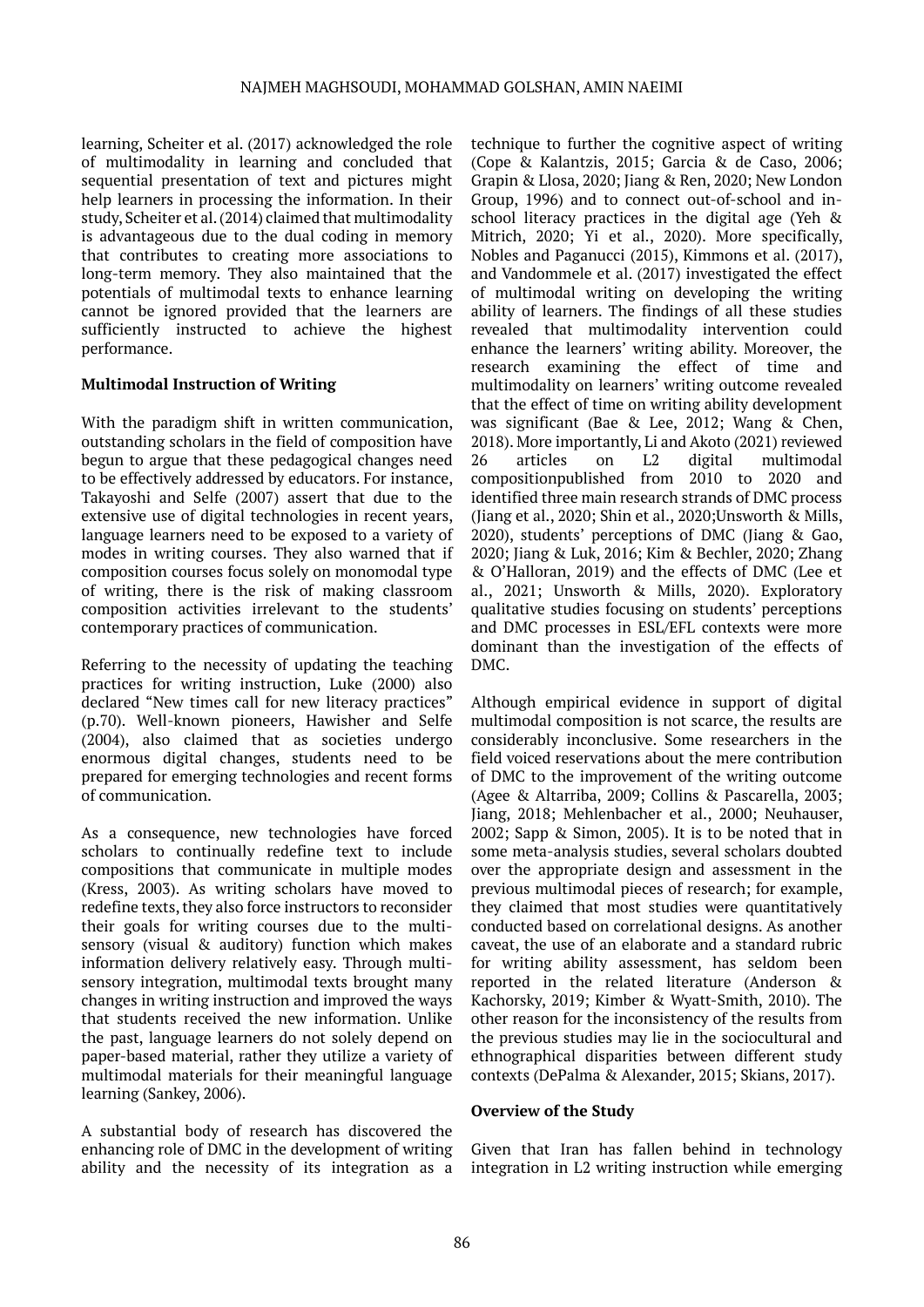learning, Scheiter et al. (2017) acknowledged the role of multimodality in learning and concluded that sequential presentation of text and pictures might help learners in processing the information. In their study, Scheiter et al. (2014) claimed that multimodality is advantageous due to the dual coding in memory that contributes to creating more associations to long-term memory. They also maintained that the potentials of multimodal texts to enhance learning cannot be ignored provided that the learners are sufficiently instructed to achieve the highest performance.

#### **Multimodal Instruction of Writing**

With the paradigm shift in written communication, outstanding scholars in the field of composition have begun to argue that these pedagogical changes need to be effectively addressed by educators. For instance, Takayoshi and Selfe (2007) assert that due to the extensive use of digital technologies in recent years, language learners need to be exposed to a variety of modes in writing courses. They also warned that if composition courses focus solely on monomodal type of writing, there is the risk of making classroom composition activities irrelevant to the students' contemporary practices of communication.

Referring to the necessity of updating the teaching practices for writing instruction, Luke (2000) also declared "New times call for new literacy practices" (p.70). Well-known pioneers, Hawisher and Selfe (2004), also claimed that as societies undergo enormous digital changes, students need to be prepared for emerging technologies and recent forms of communication.

As a consequence, new technologies have forced scholars to continually redefine text to include compositions that communicate in multiple modes (Kress, 2003). As writing scholars have moved to redefine texts, they also force instructors to reconsider their goals for writing courses due to the multisensory (visual & auditory) function which makes information delivery relatively easy. Through multisensory integration, multimodal texts brought many changes in writing instruction and improved the ways that students received the new information. Unlike the past, language learners do not solely depend on paper-based material, rather they utilize a variety of multimodal materials for their meaningful language learning (Sankey, 2006).

A substantial body of research has discovered the enhancing role of DMC in the development of writing ability and the necessity of its integration as a

technique to further the cognitive aspect of writing (Cope & Kalantzis, 2015; Garcia & de Caso, 2006; Grapin & Llosa, 2020; Jiang & Ren, 2020; New London Group, 1996) and to connect out-of-school and inschool literacy practices in the digital age (Yeh & Mitrich, 2020; Yi et al., 2020). More specifically, Nobles and Paganucci (2015), Kimmons et al. (2017), and Vandommele et al. (2017) investigated the effect of multimodal writing on developing the writing ability of learners. The findings of all these studies revealed that multimodality intervention could enhance the learners' writing ability. Moreover, the research examining the effect of time and multimodality on learners' writing outcome revealed that the effect of time on writing ability development was significant (Bae & Lee, 2012; Wang & Chen, 2018). More importantly, Li and Akoto (2021) reviewed 26 articles on L2 digital multimodal compositionpublished from 2010 to 2020 and identified three main research strands of DMC process (Jiang et al., 2020; Shin et al., 2020;Unsworth & Mills, 2020), students' perceptions of DMC (Jiang & Gao, 2020; Jiang & Luk, 2016; Kim & Bechler, 2020; Zhang & O'Halloran, 2019) and the effects of DMC (Lee et al., 2021; Unsworth & Mills, 2020). Exploratory qualitative studies focusing on students' perceptions and DMC processes in ESL/EFL contexts were more dominant than the investigation of the effects of DMC.

Although empirical evidence in support of digital multimodal composition is not scarce, the results are considerably inconclusive. Some researchers in the field voiced reservations about the mere contribution of DMC to the improvement of the writing outcome (Agee & Altarriba, 2009; Collins & Pascarella, 2003; Jiang, 2018; Mehlenbacher et al., 2000; Neuhauser, 2002; Sapp & Simon, 2005). It is to be noted that in some meta-analysis studies, several scholars doubted over the appropriate design and assessment in the previous multimodal pieces of research; for example, they claimed that most studies were quantitatively conducted based on correlational designs. As another caveat, the use of an elaborate and a standard rubric for writing ability assessment, has seldom been reported in the related literature (Anderson & Kachorsky, 2019; Kimber & Wyatt-Smith, 2010). The other reason for the inconsistency of the results from the previous studies may lie in the sociocultural and ethnographical disparities between different study contexts (DePalma & Alexander, 2015; Skians, 2017).

#### **Overview of the Study**

Given that Iran has fallen behind in technology integration in L2 writing instruction while emerging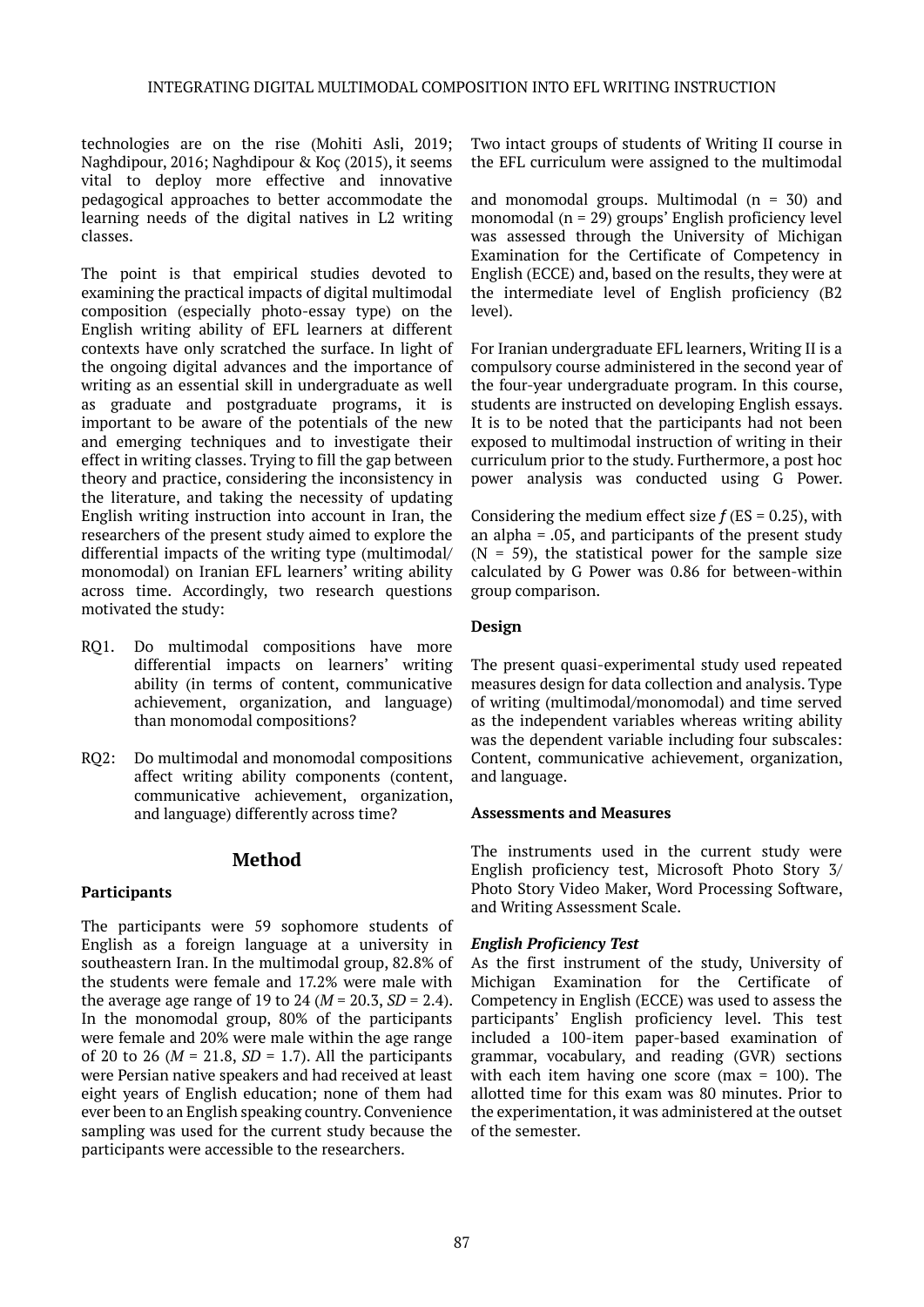technologies are on the rise (Mohiti Asli, 2019; Naghdipour, 2016; Naghdipour & Koç (2015), it seems vital to deploy more effective and innovative pedagogical approaches to better accommodate the learning needs of the digital natives in L2 writing classes.

The point is that empirical studies devoted to examining the practical impacts of digital multimodal composition (especially photo-essay type) on the English writing ability of EFL learners at different contexts have only scratched the surface. In light of the ongoing digital advances and the importance of writing as an essential skill in undergraduate as well as graduate and postgraduate programs, it is important to be aware of the potentials of the new and emerging techniques and to investigate their effect in writing classes. Trying to fill the gap between theory and practice, considering the inconsistency in the literature, and taking the necessity of updating English writing instruction into account in Iran, the researchers of the present study aimed to explore the differential impacts of the writing type (multimodal/ monomodal) on Iranian EFL learners' writing ability across time. Accordingly, two research questions motivated the study:

- RQ1. Do multimodal compositions have more differential impacts on learners' writing ability (in terms of content, communicative achievement, organization, and language) than monomodal compositions?
- RQ2: Do multimodal and monomodal compositions affect writing ability components (content, communicative achievement, organization, and language) differently across time?

## **Method**

## **Participants**

The participants were 59 sophomore students of English as a foreign language at a university in southeastern Iran. In the multimodal group, 82.8% of the students were female and 17.2% were male with the average age range of 19 to 24 ( $M = 20.3$ ,  $SD = 2.4$ ). In the monomodal group, 80% of the participants were female and 20% were male within the age range of 20 to 26 ( $M = 21.8$ ,  $SD = 1.7$ ). All the participants were Persian native speakers and had received at least eight years of English education; none of them had ever been to an English speaking country. Convenience sampling was used for the current study because the participants were accessible to the researchers.

Two intact groups of students of Writing II course in the EFL curriculum were assigned to the multimodal

and monomodal groups. Multimodal  $(n = 30)$  and monomodal (n = 29) groups' English proficiency level was assessed through the University of Michigan Examination for the Certificate of Competency in English (ECCE) and, based on the results, they were at the intermediate level of English proficiency (B2 level).

For Iranian undergraduate EFL learners, Writing II is a compulsory course administered in the second year of the four-year undergraduate program. In this course, students are instructed on developing English essays. It is to be noted that the participants had not been exposed to multimodal instruction of writing in their curriculum prior to the study. Furthermore, a post hoc power analysis was conducted using G Power.

Considering the medium effect size  $f$  (ES = 0.25), with an alpha = .05, and participants of the present study  $(N = 59)$ , the statistical power for the sample size calculated by G Power was 0.86 for between-within group comparison.

#### **Design**

The present quasi-experimental study used repeated measures design for data collection and analysis. Type of writing (multimodal/monomodal) and time served as the independent variables whereas writing ability was the dependent variable including four subscales: Content, communicative achievement, organization, and language.

#### **Assessments and Measures**

The instruments used in the current study were English proficiency test, Microsoft Photo Story 3/ Photo Story Video Maker, Word Processing Software, and Writing Assessment Scale.

#### *English Proficiency Test*

As the first instrument of the study, University of Michigan Examination for the Certificate of Competency in English (ECCE) was used to assess the participants' English proficiency level. This test included a 100-item paper-based examination of grammar, vocabulary, and reading (GVR) sections with each item having one score (max  $= 100$ ). The allotted time for this exam was 80 minutes. Prior to the experimentation, it was administered at the outset of the semester.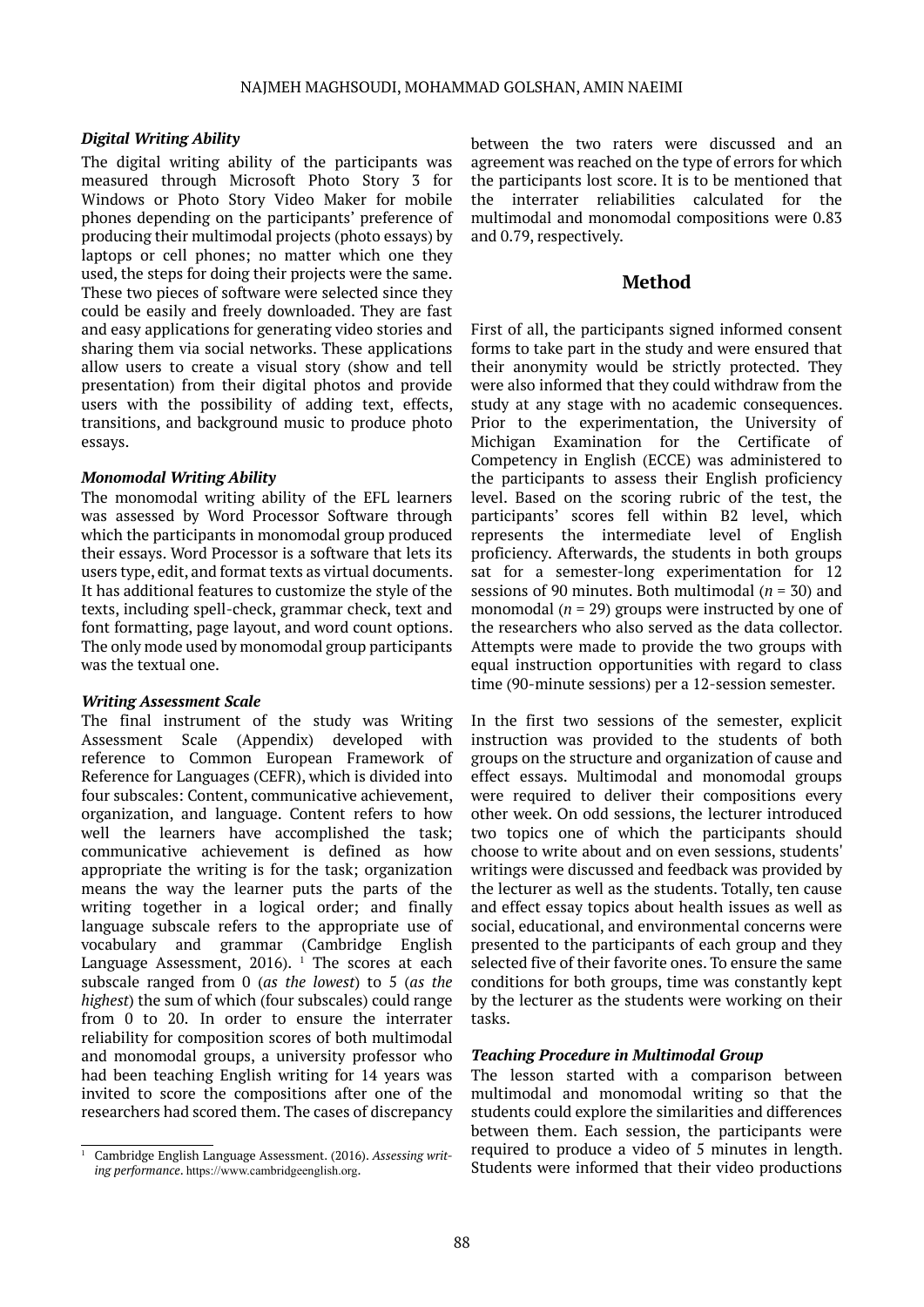#### *Digital Writing Ability*

The digital writing ability of the participants was measured through Microsoft Photo Story 3 for Windows or Photo Story Video Maker for mobile phones depending on the participants' preference of producing their multimodal projects (photo essays) by laptops or cell phones; no matter which one they used, the steps for doing their projects were the same. These two pieces of software were selected since they could be easily and freely downloaded. They are fast and easy applications for generating video stories and sharing them via social networks. These applications allow users to create a visual story (show and tell presentation) from their digital photos and provide users with the possibility of adding text, effects, transitions, and background music to produce photo essays.

#### *Monomodal Writing Ability*

The monomodal writing ability of the EFL learners was assessed by Word Processor Software through which the participants in monomodal group produced their essays. Word Processor is a software that lets its users type, edit, and format texts as virtual documents. It has additional features to customize the style of the texts, including spell-check, grammar check, text and font formatting, page layout, and word count options. The only mode used by monomodal group participants was the textual one.

#### *Writing Assessment Scale*

The final instrument of the study was Writing Assessment Scale (Appendix) developed with reference to Common European Framework of Reference for Languages (CEFR), which is divided into four subscales: Content, communicative achievement, organization, and language. Content refers to how well the learners have accomplished the task; communicative achievement is defined as how appropriate the writing is for the task; organization means the way the learner puts the parts of the writing together in a logical order; and finally language subscale refers to the appropriate use of vocabulary and grammar (Cambridge English Language Assessment,  $2016$ ).  $^1$  The scores at each subscale ranged from 0 (*as the lowest*) to 5 (*as the highest*) the sum of which (four subscales) could range from 0 to 20. In order to ensure the interrater reliability for composition scores of both multimodal and monomodal groups, a university professor who had been teaching English writing for 14 years was invited to score the compositions after one of the researchers had scored them. The cases of discrepancy

between the two raters were discussed and an agreement was reached on the type of errors for which the participants lost score. It is to be mentioned that the interrater reliabilities calculated for the multimodal and monomodal compositions were 0.83 and 0.79, respectively.

#### **Method**

First of all, the participants signed informed consent forms to take part in the study and were ensured that their anonymity would be strictly protected. They were also informed that they could withdraw from the study at any stage with no academic consequences. Prior to the experimentation, the University of Michigan Examination for the Certificate of Competency in English (ECCE) was administered to the participants to assess their English proficiency level. Based on the scoring rubric of the test, the participants' scores fell within B2 level, which represents the intermediate level of English proficiency. Afterwards, the students in both groups sat for a semester-long experimentation for 12 sessions of 90 minutes. Both multimodal (*n* = 30) and monomodal (*n* = 29) groups were instructed by one of the researchers who also served as the data collector. Attempts were made to provide the two groups with equal instruction opportunities with regard to class time (90-minute sessions) per a 12-session semester.

In the first two sessions of the semester, explicit instruction was provided to the students of both groups on the structure and organization of cause and effect essays. Multimodal and monomodal groups were required to deliver their compositions every other week. On odd sessions, the lecturer introduced two topics one of which the participants should choose to write about and on even sessions, students' writings were discussed and feedback was provided by the lecturer as well as the students. Totally, ten cause and effect essay topics about health issues as well as social, educational, and environmental concerns were presented to the participants of each group and they selected five of their favorite ones. To ensure the same conditions for both groups, time was constantly kept by the lecturer as the students were working on their tasks.

#### *Teaching Procedure in Multimodal Group*

The lesson started with a comparison between multimodal and monomodal writing so that the students could explore the similarities and differences between them. Each session, the participants were required to produce a video of 5 minutes in length. Students were informed that their video productions

<sup>1</sup> Cambridge English Language Assessment. (2016). *Assessing writing performance*. <https://www.cambridgeenglish.org>.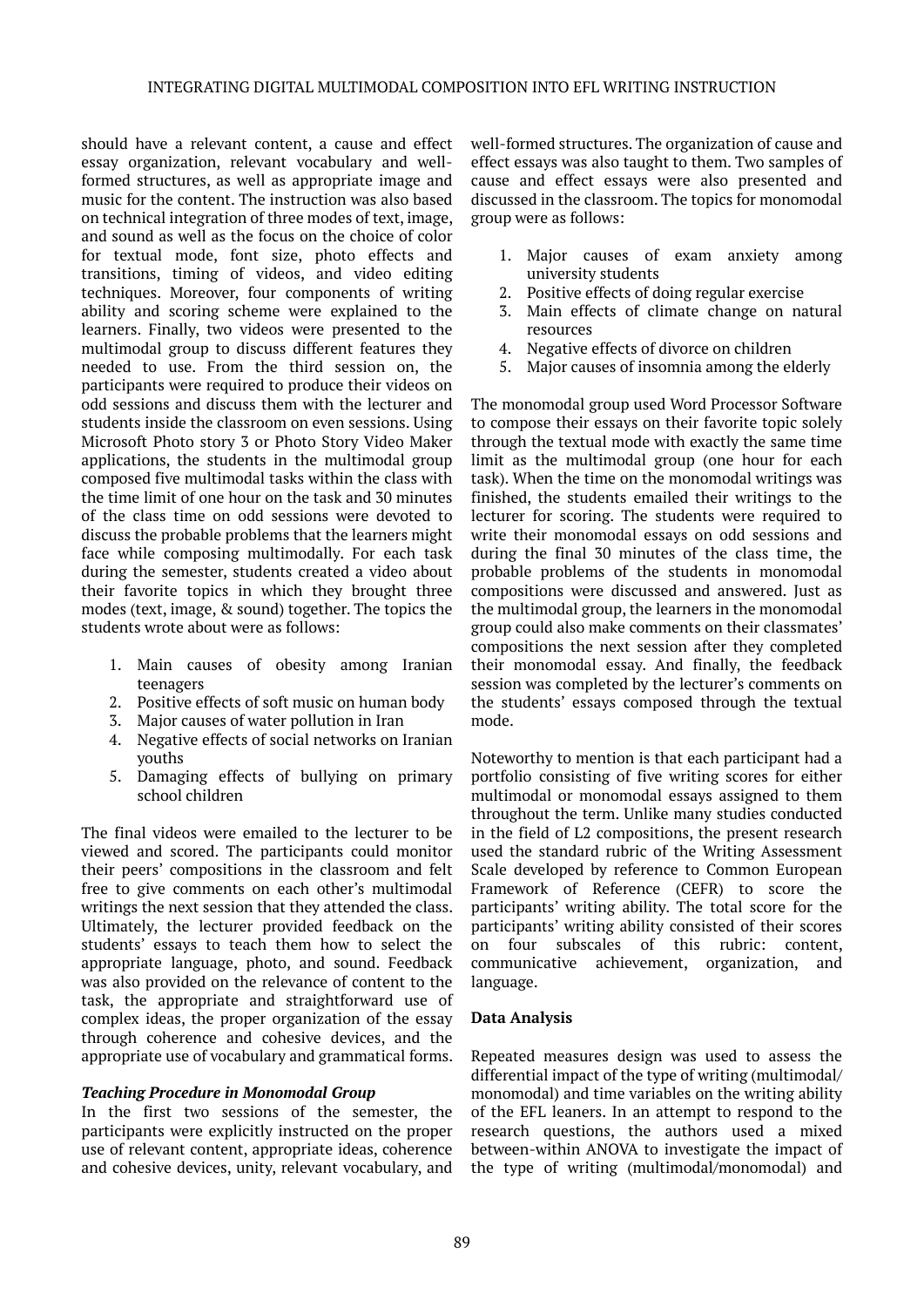should have a relevant content, a cause and effect essay organization, relevant vocabulary and wellformed structures, as well as appropriate image and music for the content. The instruction was also based on technical integration of three modes of text, image, and sound as well as the focus on the choice of color for textual mode, font size, photo effects and transitions, timing of videos, and video editing techniques. Moreover, four components of writing ability and scoring scheme were explained to the learners. Finally, two videos were presented to the multimodal group to discuss different features they needed to use. From the third session on, the participants were required to produce their videos on odd sessions and discuss them with the lecturer and students inside the classroom on even sessions. Using Microsoft Photo story 3 or Photo Story Video Maker applications, the students in the multimodal group composed five multimodal tasks within the class with the time limit of one hour on the task and 30 minutes of the class time on odd sessions were devoted to discuss the probable problems that the learners might face while composing multimodally. For each task during the semester, students created a video about their favorite topics in which they brought three modes (text, image, & sound) together. The topics the students wrote about were as follows:

- 1. Main causes of obesity among Iranian teenagers
- 2. Positive effects of soft music on human body
- 3. Major causes of water pollution in Iran
- 4. Negative effects of social networks on Iranian youths
- 5. Damaging effects of bullying on primary school children

The final videos were emailed to the lecturer to be viewed and scored. The participants could monitor their peers' compositions in the classroom and felt free to give comments on each other's multimodal writings the next session that they attended the class. Ultimately, the lecturer provided feedback on the students' essays to teach them how to select the appropriate language, photo, and sound. Feedback was also provided on the relevance of content to the task, the appropriate and straightforward use of complex ideas, the proper organization of the essay through coherence and cohesive devices, and the appropriate use of vocabulary and grammatical forms.

#### *Teaching Procedure in Monomodal Group*

In the first two sessions of the semester, the participants were explicitly instructed on the proper use of relevant content, appropriate ideas, coherence and cohesive devices, unity, relevant vocabulary, and well-formed structures. The organization of cause and effect essays was also taught to them. Two samples of cause and effect essays were also presented and discussed in the classroom. The topics for monomodal group were as follows:

- 1. Major causes of exam anxiety among university students
- 2. Positive effects of doing regular exercise
- 3. Main effects of climate change on natural resources
- 4. Negative effects of divorce on children
- 5. Major causes of insomnia among the elderly

The monomodal group used Word Processor Software to compose their essays on their favorite topic solely through the textual mode with exactly the same time limit as the multimodal group (one hour for each task). When the time on the monomodal writings was finished, the students emailed their writings to the lecturer for scoring. The students were required to write their monomodal essays on odd sessions and during the final 30 minutes of the class time, the probable problems of the students in monomodal compositions were discussed and answered. Just as the multimodal group, the learners in the monomodal group could also make comments on their classmates' compositions the next session after they completed their monomodal essay. And finally, the feedback session was completed by the lecturer's comments on the students' essays composed through the textual mode.

Noteworthy to mention is that each participant had a portfolio consisting of five writing scores for either multimodal or monomodal essays assigned to them throughout the term. Unlike many studies conducted in the field of L2 compositions, the present research used the standard rubric of the Writing Assessment Scale developed by reference to Common European Framework of Reference (CEFR) to score the participants' writing ability. The total score for the participants' writing ability consisted of their scores on four subscales of this rubric: content, communicative achievement, organization, and language.

#### **Data Analysis**

Repeated measures design was used to assess the differential impact of the type of writing (multimodal/ monomodal) and time variables on the writing ability of the EFL leaners. In an attempt to respond to the research questions, the authors used a mixed between-within ANOVA to investigate the impact of the type of writing (multimodal/monomodal) and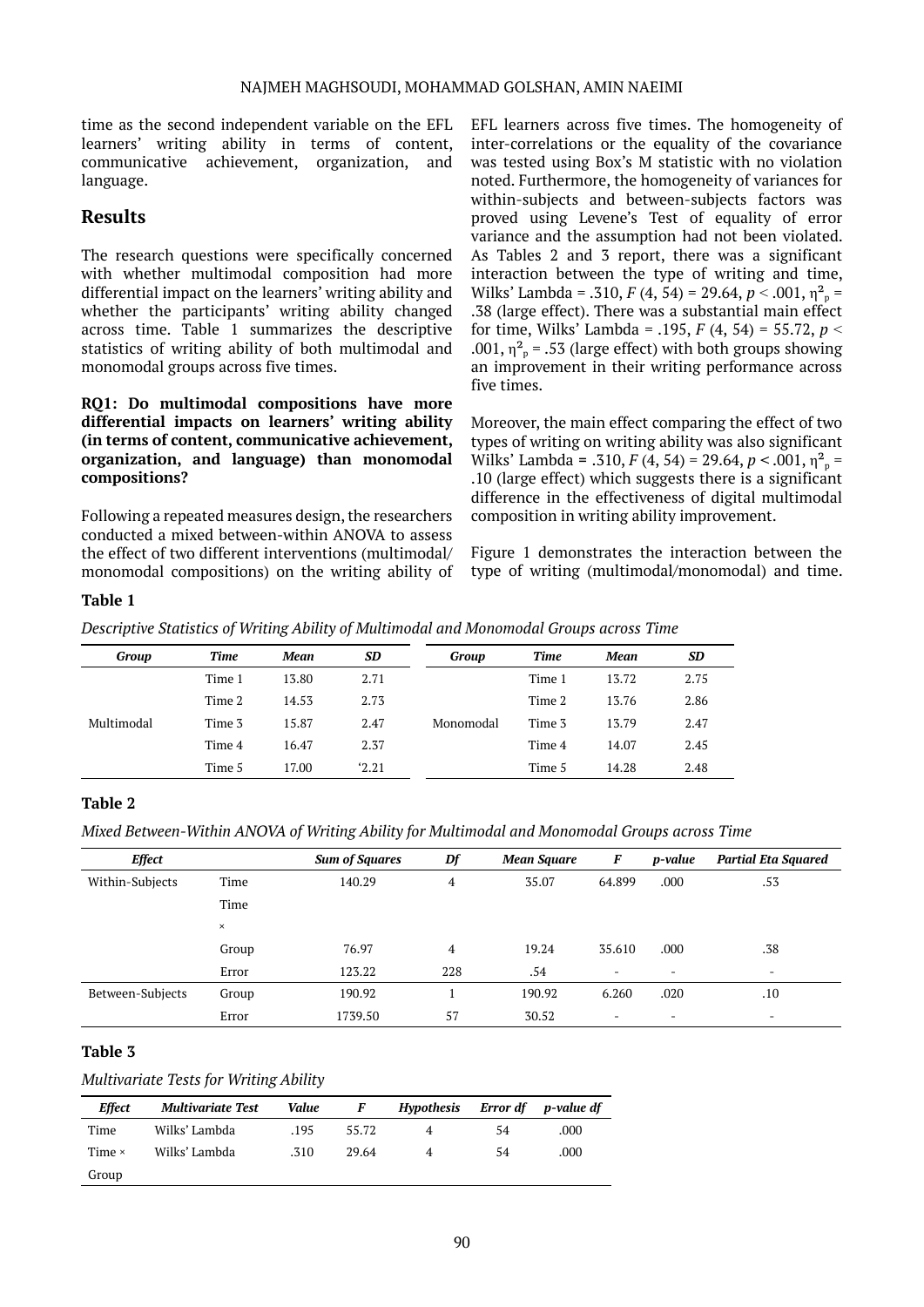time as the second independent variable on the EFL learners' writing ability in terms of content, communicative achievement, organization, and language.

## **Results**

The research questions were specifically concerned with whether multimodal composition had more differential impact on the learners' writing ability and whether the participants' writing ability changed across time. Table 1 summarizes the descriptive statistics of writing ability of both multimodal and monomodal groups across five times.

#### **RQ1: Do multimodal compositions have more differential impacts on learners' writing ability (in terms of content, communicative achievement, organization, and language) than monomodal compositions?**

Following a repeated measures design, the researchers conducted a mixed between-within ANOVA to assess the effect of two different interventions (multimodal/ monomodal compositions) on the writing ability of EFL learners across five times. The homogeneity of inter-correlations or the equality of the covariance was tested using Box's M statistic with no violation noted. Furthermore, the homogeneity of variances for within-subjects and between-subjects factors was proved using Levene's Test of equality of error variance and the assumption had not been violated. As Tables 2 and 3 report, there was a significant interaction between the type of writing and time, Wilks' Lambda = .310, *F* (4, 54) = 29.64, *p* < .001,  $\eta_p^2$  = .38 (large effect). There was a substantial main effect for time, Wilks' Lambda = .195, *F* (4, 54) = 55.72, *p* ˂ .001,  $\eta_{p}^{2}$  = .53 (large effect) with both groups showing an improvement in their writing performance across five times.

Moreover, the main effect comparing the effect of two types of writing on writing ability was also significant Wilks' Lambda = .310, *F* (4, 54) = 29.64, *p* < .001,  $\eta^2$ <sub>p</sub> = .10 (large effect) which suggests there is a significant difference in the effectiveness of digital multimodal composition in writing ability improvement.

Figure 1 demonstrates the interaction between the type of writing (multimodal/monomodal) and time.

#### **Table 1**

*Descriptive Statistics of Writing Ability of Multimodal and Monomodal Groups across Time*

| Group      | Time   | Mean  | <b>SD</b> | Group     | Time   | Mean  | SD   |
|------------|--------|-------|-----------|-----------|--------|-------|------|
| Multimodal | Time 1 | 13.80 | 2.71      | Monomodal | Time 1 | 13.72 | 2.75 |
|            | Time 2 | 14.53 | 2.73      |           | Time 2 | 13.76 | 2.86 |
|            | Time 3 | 15.87 | 2.47      |           | Time 3 | 13.79 | 2.47 |
|            | Time 4 | 16.47 | 2.37      |           | Time 4 | 14.07 | 2.45 |
|            | Time 5 | 17.00 | 2.21      |           | Time 5 | 14.28 | 2.48 |

#### **Table 2**

*Mixed Between-Within ANOVA of Writing Ability for Multimodal and Monomodal Groups across Time*

| <b>Effect</b>    |          | <b>Sum of Squares</b> | Df  | <b>Mean Square</b> | F                        | p-value | <b>Partial Eta Squared</b> |
|------------------|----------|-----------------------|-----|--------------------|--------------------------|---------|----------------------------|
| Within-Subjects  | Time     | 140.29                | 4   | 35.07              | 64.899                   | .000    | .53                        |
|                  | Time     |                       |     |                    |                          |         |                            |
|                  | $\times$ |                       |     |                    |                          |         |                            |
|                  | Group    | 76.97                 | 4   | 19.24              | 35.610                   | .000    | .38                        |
|                  | Error    | 123.22                | 228 | .54                | $\overline{\phantom{a}}$ | ٠       | $\overline{\phantom{a}}$   |
| Between-Subjects | Group    | 190.92                |     | 190.92             | 6.260                    | .020    | .10                        |
|                  | Error    | 1739.50               | 57  | 30.52              | ٠                        | -       | $\overline{\phantom{0}}$   |

#### **Table 3**

#### *Multivariate Tests for Writing Ability*

| Effect        | <b>Multivariate Test</b> | Value | F     | <b>Hypothesis</b> | Error df | p-value df |
|---------------|--------------------------|-------|-------|-------------------|----------|------------|
| Time          | Wilks' Lambda            | .195  | 55.72 |                   | 54       | .000       |
| Time $\times$ | Wilks' Lambda            | .310  | 29.64 |                   | 54       | .000       |
| Group         |                          |       |       |                   |          |            |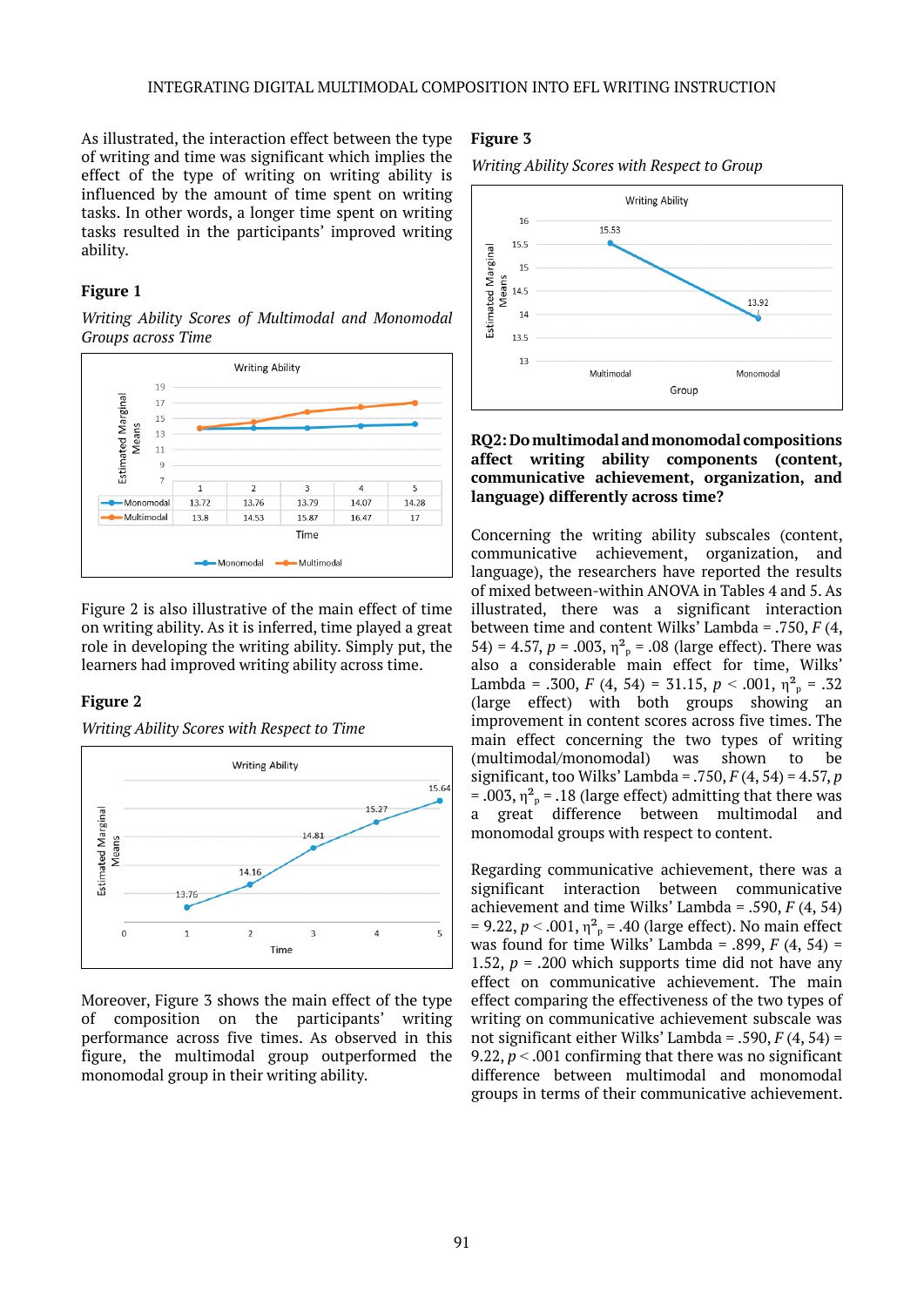As illustrated, the interaction effect between the type of writing and time was significant which implies the effect of the type of writing on writing ability is influenced by the amount of time spent on writing tasks. In other words, a longer time spent on writing tasks resulted in the participants' improved writing ability.

#### **Figure 1**

*Writing Ability Scores of Multimodal and Monomodal Groups across Time*



Figure 2 is also illustrative of the main effect of time on writing ability. As it is inferred, time played a great role in developing the writing ability. Simply put, the learners had improved writing ability across time.

#### **Figure 2**

*Writing Ability Scores with Respect to Time*



Moreover, Figure 3 shows the main effect of the type of composition on the participants' writing performance across five times. As observed in this figure, the multimodal group outperformed the monomodal group in their writing ability.

## **Figure 3**

*Writing Ability Scores with Respect to Group*



#### **RQ2: Do multimodal and monomodal compositions affect writing ability components (content, communicative achievement, organization, and language) differently across time?**

Concerning the writing ability subscales (content, communicative achievement, organization, and language), the researchers have reported the results of mixed between-within ANOVA in Tables 4 and 5. As illustrated, there was a significant interaction between time and content Wilks' Lambda = .750, *F* (4, 54) = 4.57,  $p = .003$ ,  $\eta_p^2 = .08$  (large effect). There was also a considerable main effect for time, Wilks' Lambda = .300, *F* (4, 54) = 31.15, *p* < .001,  $\eta_{p}^{2}$  = .32 (large effect) with both groups showing an improvement in content scores across five times. The main effect concerning the two types of writing<br>(multimodal/monomodal) was shown to be (multimodal/monomodal) was shown to be significant, too Wilks' Lambda = .750, *F* (4, 54) = 4.57, *p* = .003,  $\eta^2$ <sub>p</sub> = .18 (large effect) admitting that there was a great difference between multimodal and monomodal groups with respect to content.

Regarding communicative achievement, there was a significant interaction between communicative achievement and time Wilks' Lambda = .590, *F* (4, 54)  $= 9.22, p < .001, \eta^2$ <sub>p</sub> = .40 (large effect). No main effect was found for time Wilks' Lambda =  $.899, F(4, 54)$  = 1.52,  $p = 0.200$  which supports time did not have any effect on communicative achievement. The main effect comparing the effectiveness of the two types of writing on communicative achievement subscale was not significant either Wilks' Lambda = .590, *F* (4, 54) = 9.22,  $p < .001$  confirming that there was no significant difference between multimodal and monomodal groups in terms of their communicative achievement.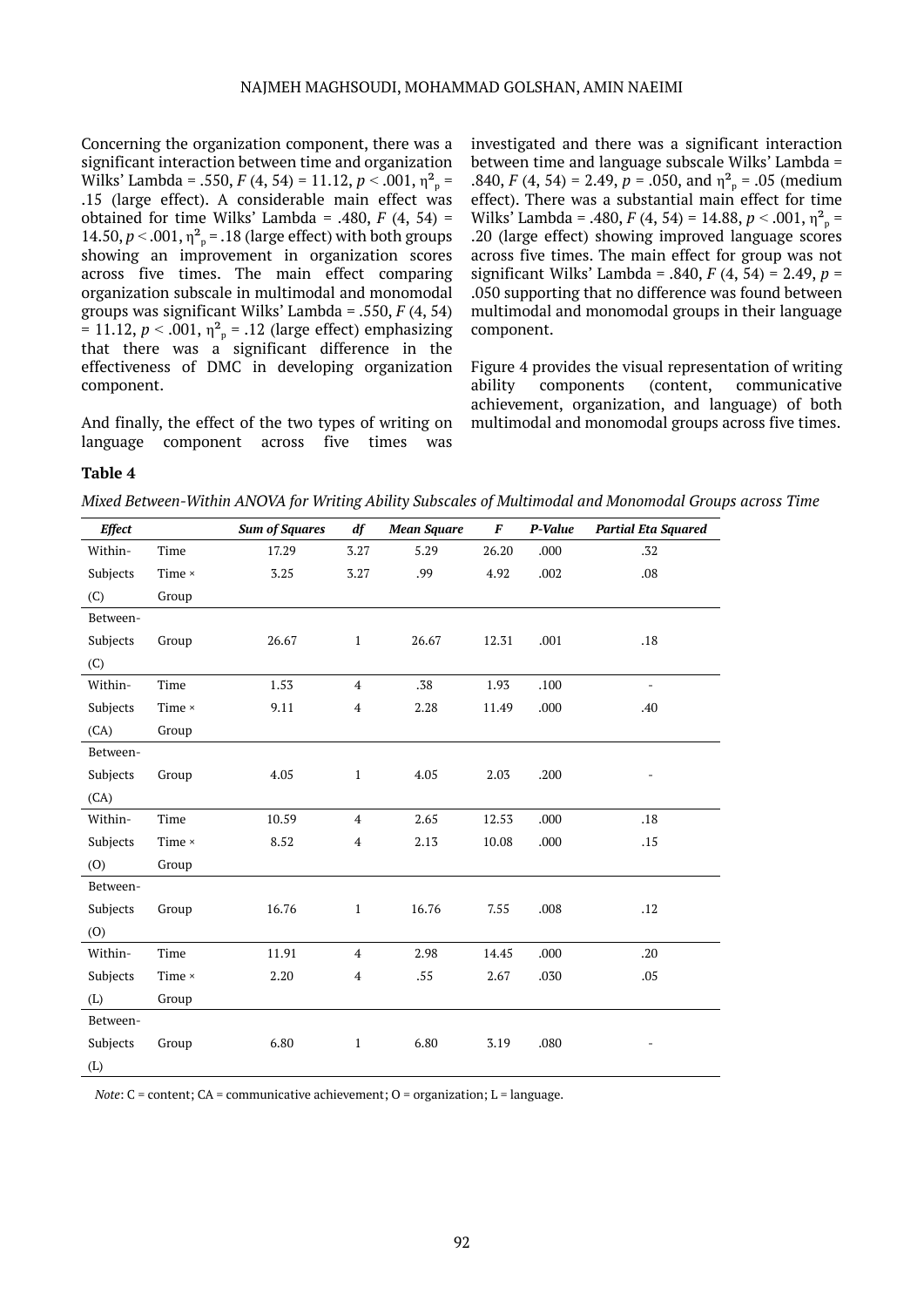#### NAJMEH MAGHSOUDI, MOHAMMAD GOLSHAN, AMIN NAEIMI

Concerning the organization component, there was a significant interaction between time and organization Wilks' Lambda = .550, *F* (4, 54) = 11.12, *p* < .001,  $\eta_p^2$  = .15 (large effect). A considerable main effect was obtained for time Wilks' Lambda =  $.480, F(4, 54)$  = 14.50,  $p < .001$ ,  $\eta_{p}^{2} = .18$  (large effect) with both groups showing an improvement in organization scores across five times. The main effect comparing organization subscale in multimodal and monomodal groups was significant Wilks' Lambda = .550, *F* (4, 54)  $= 11.12, p < .001, \eta_{p}^{2} = .12$  (large effect) emphasizing that there was a significant difference in the effectiveness of DMC in developing organization component.

And finally, the effect of the two types of writing on language component across five times was

investigated and there was a significant interaction between time and language subscale Wilks' Lambda = .840, *F* (4, 54) = 2.49,  $p = .050$ , and  $\eta^2$ <sub>p</sub> = .05 (medium effect). There was a substantial main effect for time Wilks' Lambda = .480,  $F(4, 54) = 14.88$ ,  $p < .001$ ,  $\eta_{p}^{2} =$ .20 (large effect) showing improved language scores across five times. The main effect for group was not significant Wilks' Lambda = .840, *F* (4, 54) = 2.49, *p* = .050 supporting that no difference was found between multimodal and monomodal groups in their language component.

Figure 4 provides the visual representation of writing ability components (content, communicative achievement, organization, and language) of both multimodal and monomodal groups across five times.

#### **Table 4**

*Mixed Between-Within ANOVA for Writing Ability Subscales of Multimodal and Monomodal Groups across Time*

| <b>Effect</b> |               | <b>Sum of Squares</b> | df                      | <b>Mean Square</b> | $\pmb{F}$ | P-Value | <b>Partial Eta Squared</b> |
|---------------|---------------|-----------------------|-------------------------|--------------------|-----------|---------|----------------------------|
| Within-       | Time          | 17.29                 | 3.27                    | 5.29               | 26.20     | .000    | .32                        |
| Subjects      | Time $\times$ | 3.25                  | 3.27                    | .99                | 4.92      | .002    | .08                        |
| (C)           | Group         |                       |                         |                    |           |         |                            |
| Between-      |               |                       |                         |                    |           |         |                            |
| Subjects      | Group         | 26.67                 | $\mathbf{1}$            | 26.67              | 12.31     | .001    | .18                        |
| (C)           |               |                       |                         |                    |           |         |                            |
| Within-       | Time          | 1.53                  | 4                       | .38                | 1.93      | .100    | $\overline{\phantom{a}}$   |
| Subjects      | Time $\times$ | 9.11                  | $\overline{\mathbf{4}}$ | 2.28               | 11.49     | .000    | .40                        |
| (CA)          | Group         |                       |                         |                    |           |         |                            |
| Between-      |               |                       |                         |                    |           |         |                            |
| Subjects      | Group         | 4.05                  | $1\,$                   | 4.05               | 2.03      | .200    | -                          |
| (CA)          |               |                       |                         |                    |           |         |                            |
| Within-       | Time          | 10.59                 | $\overline{4}$          | 2.65               | 12.53     | .000    | .18                        |
| Subjects      | Time $\times$ | 8.52                  | 4                       | 2.13               | 10.08     | .000    | .15                        |
| (0)           | Group         |                       |                         |                    |           |         |                            |
| Between-      |               |                       |                         |                    |           |         |                            |
| Subjects      | Group         | 16.76                 | $\mathbf{1}$            | 16.76              | 7.55      | .008    | .12                        |
| (0)           |               |                       |                         |                    |           |         |                            |
| Within-       | Time          | 11.91                 | 4                       | 2.98               | 14.45     | .000    | .20                        |
| Subjects      | Time ×        | 2.20                  | 4                       | .55                | 2.67      | .030    | .05                        |
| (L)           | Group         |                       |                         |                    |           |         |                            |
| Between-      |               |                       |                         |                    |           |         |                            |
| Subjects      | Group         | 6.80                  | $\mathbf{1}$            | 6.80               | 3.19      | .080    |                            |
| (L)           |               |                       |                         |                    |           |         |                            |

*Note*:  $C$  = content;  $CA$  = communicative achievement;  $O$  = organization;  $L$  = language.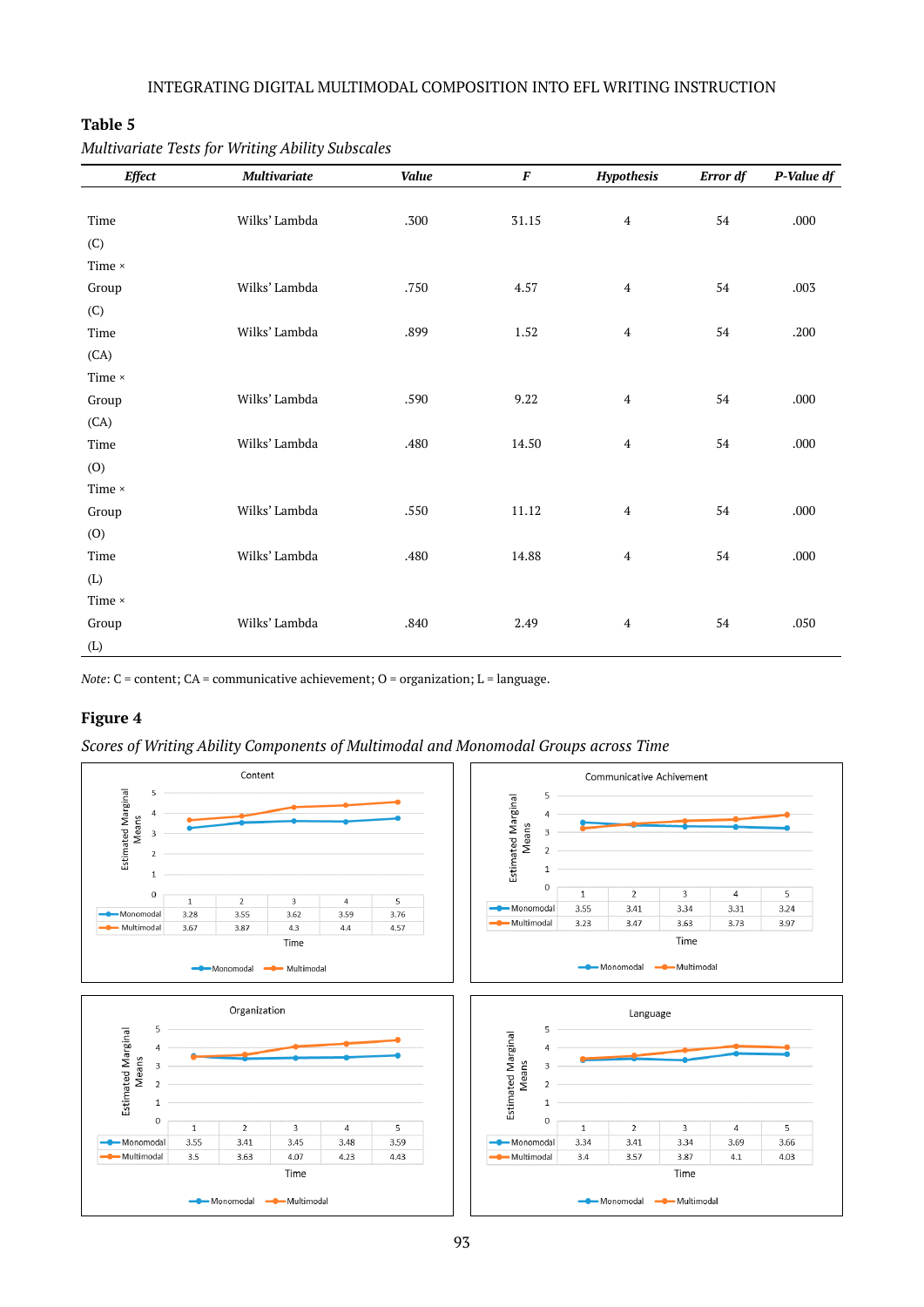## **Table 5**

| <b>Effect</b> | <b>Multivariate</b> | Value | $\pmb{F}$ | Hypothesis              | Error df | P-Value df |
|---------------|---------------------|-------|-----------|-------------------------|----------|------------|
|               |                     |       |           |                         |          |            |
| Time          | Wilks' Lambda       | .300  | 31.15     | $\overline{4}$          | 54       | .000       |
| (C)           |                     |       |           |                         |          |            |
| Time $\times$ |                     |       |           |                         |          |            |
| Group         | Wilks' Lambda       | .750  | 4.57      | $\overline{\mathbf{4}}$ | 54       | .003       |
| (C)           |                     |       |           |                         |          |            |
| Time          | Wilks' Lambda       | .899  | 1.52      | $\overline{\mathbf{4}}$ | 54       | .200       |
| (CA)          |                     |       |           |                         |          |            |
| Time $\times$ |                     |       |           |                         |          |            |
| Group         | Wilks' Lambda       | .590  | 9.22      | $\overline{\mathbf{4}}$ | 54       | .000       |
| (CA)          |                     |       |           |                         |          |            |
| Time          | Wilks' Lambda       | .480  | 14.50     | $\overline{4}$          | 54       | .000       |
| (0)           |                     |       |           |                         |          |            |
| Time $\times$ |                     |       |           |                         |          |            |
| Group         | Wilks' Lambda       | .550  | 11.12     | $\overline{4}$          | 54       | .000       |
| (0)           |                     |       |           |                         |          |            |
| Time          | Wilks' Lambda       | .480  | 14.88     | $\overline{4}$          | 54       | .000       |
| (L)           |                     |       |           |                         |          |            |
| Time $\times$ |                     |       |           |                         |          |            |
| Group         | Wilks' Lambda       | .840  | 2.49      | $\overline{4}$          | 54       | .050       |
| (L)           |                     |       |           |                         |          |            |

*Multivariate Tests for Writing Ability Subscales*

*Note*: C = content; CA = communicative achievement; O = organization; L = language.

## **Figure 4**

*Scores of Writing Ability Components of Multimodal and Monomodal Groups across Time*

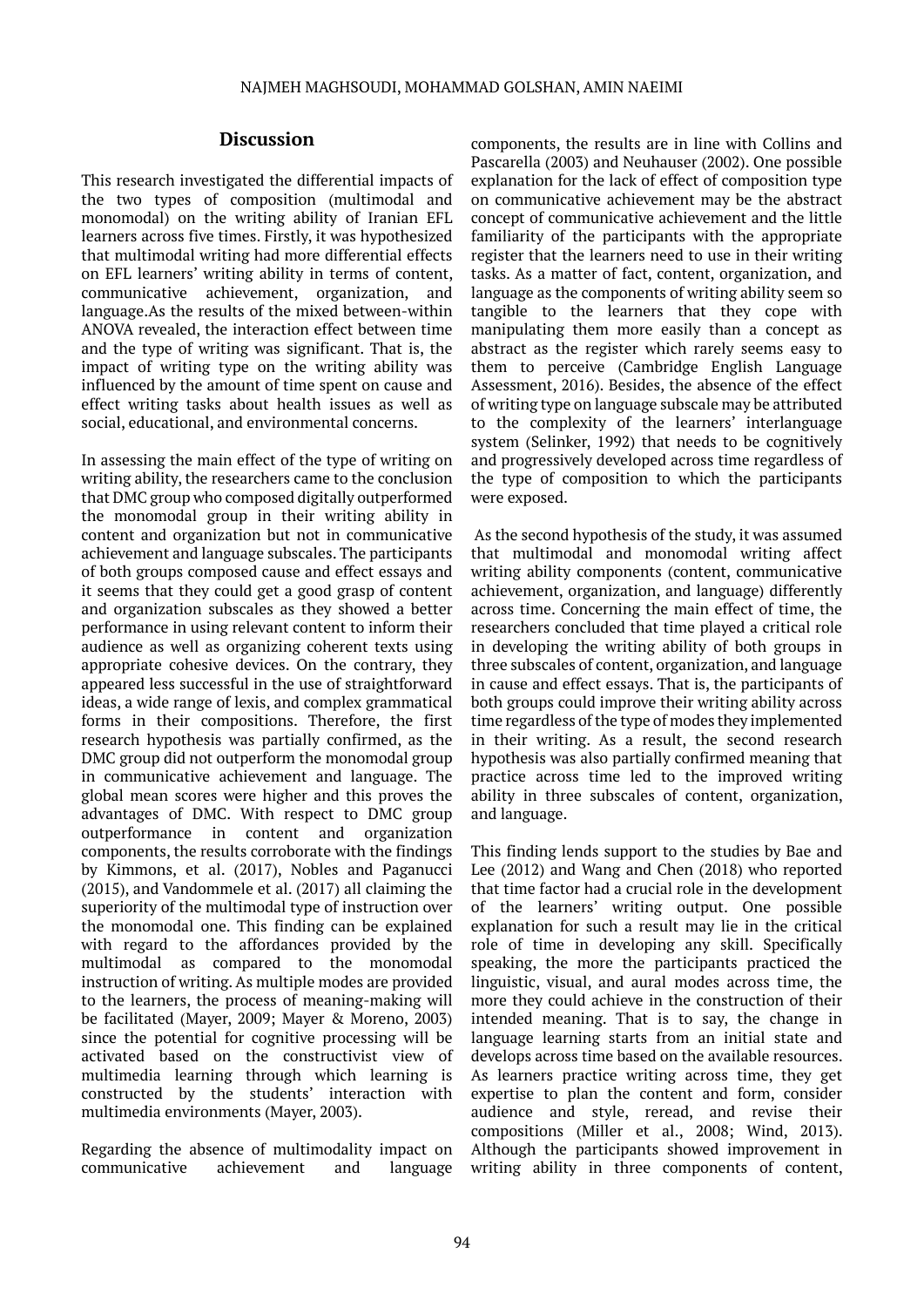## **Discussion**

This research investigated the differential impacts of the two types of composition (multimodal and monomodal) on the writing ability of Iranian EFL learners across five times. Firstly, it was hypothesized that multimodal writing had more differential effects on EFL learners' writing ability in terms of content, communicative achievement, organization, and language.As the results of the mixed between-within ANOVA revealed, the interaction effect between time and the type of writing was significant. That is, the impact of writing type on the writing ability was influenced by the amount of time spent on cause and effect writing tasks about health issues as well as social, educational, and environmental concerns.

In assessing the main effect of the type of writing on writing ability, the researchers came to the conclusion that DMC group who composed digitally outperformed the monomodal group in their writing ability in content and organization but not in communicative achievement and language subscales. The participants of both groups composed cause and effect essays and it seems that they could get a good grasp of content and organization subscales as they showed a better performance in using relevant content to inform their audience as well as organizing coherent texts using appropriate cohesive devices. On the contrary, they appeared less successful in the use of straightforward ideas, a wide range of lexis, and complex grammatical forms in their compositions. Therefore, the first research hypothesis was partially confirmed, as the DMC group did not outperform the monomodal group in communicative achievement and language. The global mean scores were higher and this proves the advantages of DMC. With respect to DMC group outperformance in content and organization components, the results corroborate with the findings by Kimmons, et al. (2017), Nobles and Paganucci (2015), and Vandommele et al. (2017) all claiming the superiority of the multimodal type of instruction over the monomodal one. This finding can be explained with regard to the affordances provided by the multimodal as compared to the monomodal instruction of writing. As multiple modes are provided to the learners, the process of meaning-making will be facilitated (Mayer, 2009; Mayer & Moreno, 2003) since the potential for cognitive processing will be activated based on the constructivist view of multimedia learning through which learning is constructed by the students' interaction with multimedia environments (Mayer, 2003).

Regarding the absence of multimodality impact on communicative achievement and language

components, the results are in line with Collins and Pascarella (2003) and Neuhauser (2002). One possible explanation for the lack of effect of composition type on communicative achievement may be the abstract concept of communicative achievement and the little familiarity of the participants with the appropriate register that the learners need to use in their writing tasks. As a matter of fact, content, organization, and language as the components of writing ability seem so tangible to the learners that they cope with manipulating them more easily than a concept as abstract as the register which rarely seems easy to them to perceive (Cambridge English Language Assessment, 2016). Besides, the absence of the effect of writing type on language subscale may be attributed to the complexity of the learners' interlanguage system (Selinker, 1992) that needs to be cognitively and progressively developed across time regardless of the type of composition to which the participants were exposed.

 As the second hypothesis of the study, it was assumed that multimodal and monomodal writing affect writing ability components (content, communicative achievement, organization, and language) differently across time. Concerning the main effect of time, the researchers concluded that time played a critical role in developing the writing ability of both groups in three subscales of content, organization, and language in cause and effect essays. That is, the participants of both groups could improve their writing ability across time regardless of the type of modes they implemented in their writing. As a result, the second research hypothesis was also partially confirmed meaning that practice across time led to the improved writing ability in three subscales of content, organization, and language.

This finding lends support to the studies by Bae and Lee (2012) and Wang and Chen (2018) who reported that time factor had a crucial role in the development of the learners' writing output. One possible explanation for such a result may lie in the critical role of time in developing any skill. Specifically speaking, the more the participants practiced the linguistic, visual, and aural modes across time, the more they could achieve in the construction of their intended meaning. That is to say, the change in language learning starts from an initial state and develops across time based on the available resources. As learners practice writing across time, they get expertise to plan the content and form, consider audience and style, reread, and revise their compositions (Miller et al., 2008; Wind, 2013). Although the participants showed improvement in writing ability in three components of content,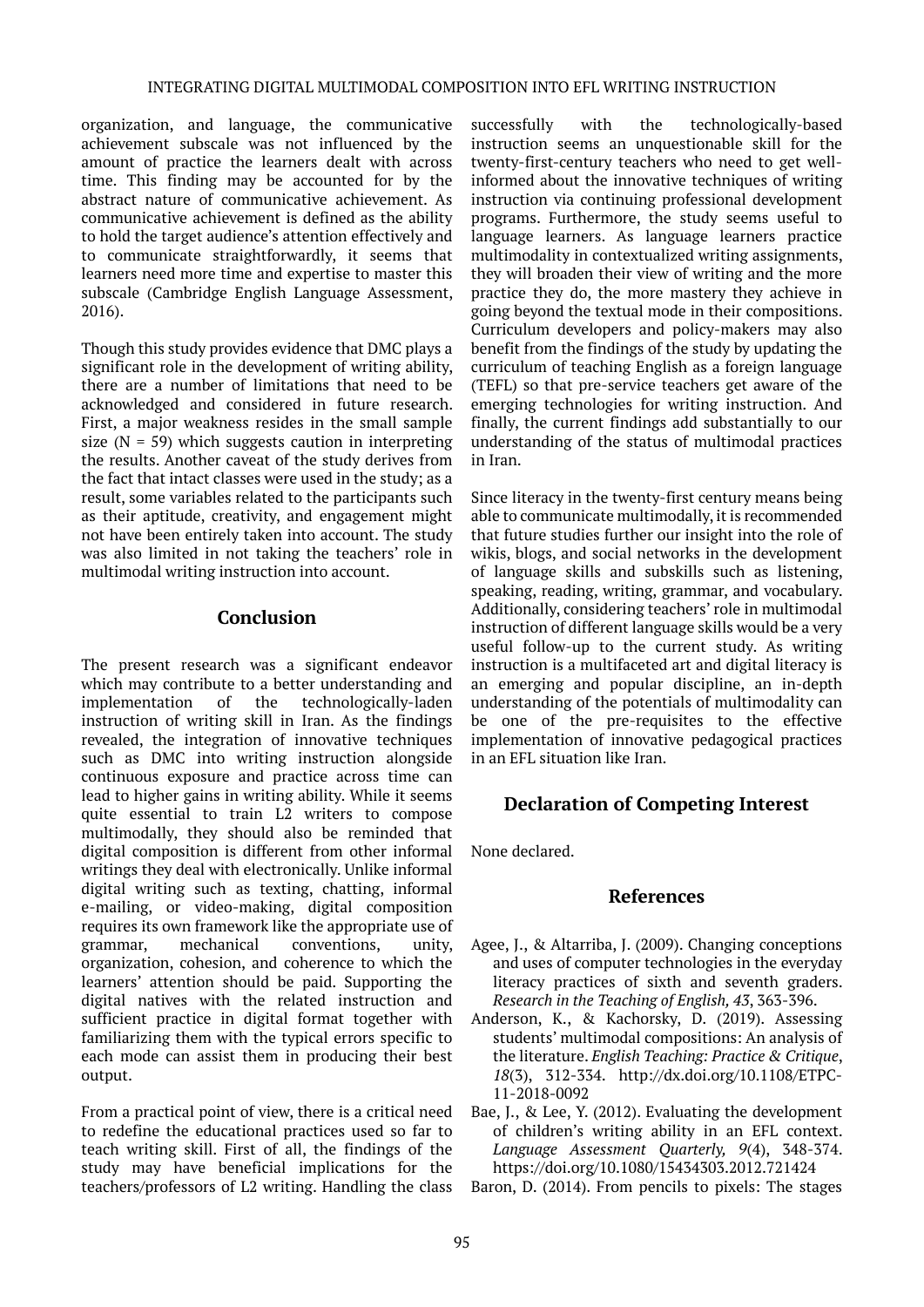organization, and language, the communicative achievement subscale was not influenced by the amount of practice the learners dealt with across time. This finding may be accounted for by the abstract nature of communicative achievement. As communicative achievement is defined as the ability to hold the target audience's attention effectively and to communicate straightforwardly, it seems that learners need more time and expertise to master this subscale (Cambridge English Language Assessment, 2016).

Though this study provides evidence that DMC plays a significant role in the development of writing ability, there are a number of limitations that need to be acknowledged and considered in future research. First, a major weakness resides in the small sample size ( $N = 59$ ) which suggests caution in interpreting the results. Another caveat of the study derives from the fact that intact classes were used in the study; as a result, some variables related to the participants such as their aptitude, creativity, and engagement might not have been entirely taken into account. The study was also limited in not taking the teachers' role in multimodal writing instruction into account.

#### **Conclusion**

The present research was a significant endeavor which may contribute to a better understanding and implementation of the technologically-laden instruction of writing skill in Iran. As the findings revealed, the integration of innovative techniques such as DMC into writing instruction alongside continuous exposure and practice across time can lead to higher gains in writing ability. While it seems quite essential to train L2 writers to compose multimodally, they should also be reminded that digital composition is different from other informal writings they deal with electronically. Unlike informal digital writing such as texting, chatting, informal e-mailing, or video-making, digital composition requires its own framework like the appropriate use of grammar, mechanical conventions, unity, organization, cohesion, and coherence to which the learners' attention should be paid. Supporting the digital natives with the related instruction and sufficient practice in digital format together with familiarizing them with the typical errors specific to each mode can assist them in producing their best output.

From a practical point of view, there is a critical need to redefine the educational practices used so far to teach writing skill. First of all, the findings of the study may have beneficial implications for the teachers/professors of L2 writing. Handling the class

successfully with the technologically-based instruction seems an unquestionable skill for the twenty-first-century teachers who need to get wellinformed about the innovative techniques of writing instruction via continuing professional development programs. Furthermore, the study seems useful to language learners. As language learners practice multimodality in contextualized writing assignments, they will broaden their view of writing and the more practice they do, the more mastery they achieve in going beyond the textual mode in their compositions. Curriculum developers and policy-makers may also benefit from the findings of the study by updating the curriculum of teaching English as a foreign language (TEFL) so that pre-service teachers get aware of the emerging technologies for writing instruction. And finally, the current findings add substantially to our understanding of the status of multimodal practices in Iran.

Since literacy in the twenty-first century means being able to communicate multimodally, it is recommended that future studies further our insight into the role of wikis, blogs, and social networks in the development of language skills and subskills such as listening, speaking, reading, writing, grammar, and vocabulary. Additionally, considering teachers' role in multimodal instruction of different language skills would be a very useful follow-up to the current study. As writing instruction is a multifaceted art and digital literacy is an emerging and popular discipline, an in-depth understanding of the potentials of multimodality can be one of the pre-requisites to the effective implementation of innovative pedagogical practices in an EFL situation like Iran.

## **Declaration of Competing Interest**

None declared.

#### **References**

- Agee, J., & Altarriba, J. (2009). Changing conceptions and uses of computer technologies in the everyday literacy practices of sixth and seventh graders. *Research in the Teaching of English, 43*, 363-396.
- Anderson, K., & Kachorsky, D. (2019). Assessing students' multimodal compositions: An analysis of the literature. *English Teaching: Practice & Critique*, *18*(3), 312-334. http://dx.doi.org[/10.1108/ETPC-](https://doi.org/10.1108/ETPC-11-2018-0092)[11-2018-0092](https://doi.org/10.1108/ETPC-11-2018-0092)
- Bae, J., & Lee, Y. (2012). Evaluating the development of children's writing ability in an EFL context. *Language Assessment Quarterly, 9*(4), 348-374. https://doi.org/10.1080/15434303.2012.721424
- Baron, D. (2014). From pencils to pixels: The stages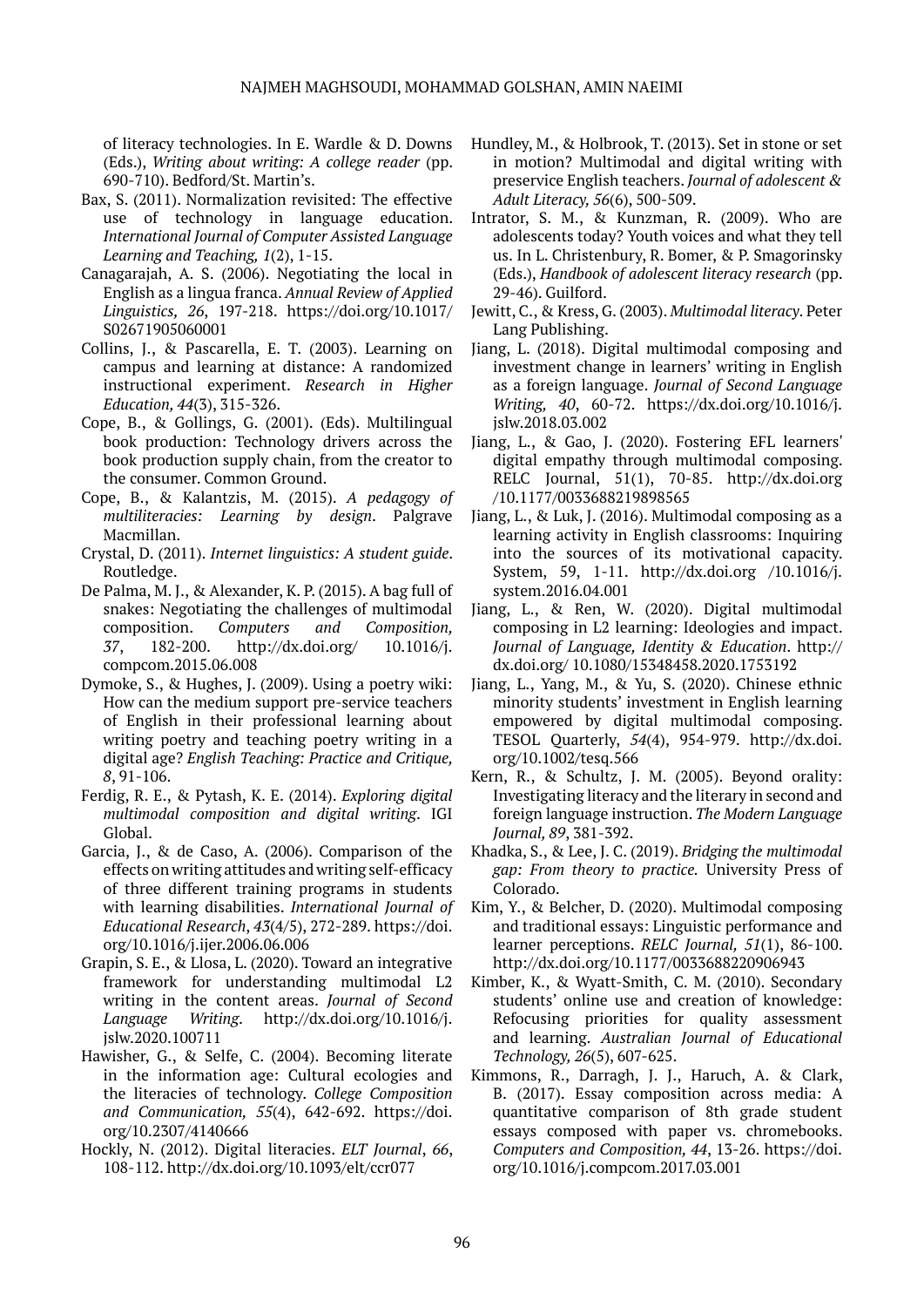of literacy technologies. In E. Wardle & D. Downs (Eds.), *Writing about writing: A college reader* (pp. 690-710). Bedford/St. Martin's.

- Bax, S. (2011). Normalization revisited: The effective use of technology in language education. *International Journal of Computer Assisted Language Learning and Teaching, 1*(2), 1-15.
- Canagarajah, A. S. (2006). Negotiating the local in English as a lingua franca. *Annual Review of Applied Linguistics, 26*, 197-218. https://doi.org/10.1017/ S02671905060001
- Collins, J., & Pascarella, E. T. (2003). Learning on campus and learning at distance: A randomized instructional experiment. *Research in Higher Education, 44*(3), 315-326.
- Cope, B., & Gollings, G. (2001). (Eds). Multilingual book production: Technology drivers across the book production supply chain, from the creator to the consumer. Common Ground.
- Cope, B., & Kalantzis, M. (2015). *A pedagogy of multiliteracies: Learning by design*. Palgrave Macmillan.
- Crystal, D. (2011). *Internet linguistics: A student guide*. Routledge.
- De Palma, M. J., & Alexander, K. P. (2015). A bag full of snakes: Negotiating the challenges of multimodal composition. *Computers and Composition, 37*, 182-200. http://dx.doi.org/ 10.1016/j. compcom.2015.06.008
- Dymoke, S., & Hughes, J. (2009). Using a poetry wiki: How can the medium support pre-service teachers of English in their professional learning about writing poetry and teaching poetry writing in a digital age? *English Teaching: Practice and Critique, 8*, 91-106.
- Ferdig, R. E., & Pytash, K. E. (2014). *Exploring digital multimodal composition and digital writing*. IGI Global.
- Garcia, J., & de Caso, A. (2006). Comparison of the effects on writing attitudes and writing self-efficacy of three different training programs in students with learning disabilities. *International Journal of Educational Research*, *43*(4/5), 272-289. https://doi. org/10.1016/j.ijer.2006.06.006
- Grapin, S. E., & Llosa, L. (2020). Toward an integrative framework for understanding multimodal L2 writing in the content areas. *Journal of Second Language Writing*. [http://dx.doi.org/10.1016/j.](http://dx.doi.org/10.1016/j.jslw.2020.100711) [jslw.2020.100711](http://dx.doi.org/10.1016/j.jslw.2020.100711)
- Hawisher, G., & Selfe, C. (2004). Becoming literate in the information age: Cultural ecologies and the literacies of technology. *College Composition and Communication, 55*(4), 642-692. https://doi. org/10.2307/4140666
- Hockly, N. (2012). Digital literacies. *ELT Journal*, *66*, 108-112. <http://dx.doi.org/10.1093/elt/ccr077>
- Hundley, M., & Holbrook, T. (2013). Set in stone or set in motion? Multimodal and digital writing with preservice English teachers. *Journal of adolescent & Adult Literacy, 56*(6), 500-509.
- Intrator, S. M., & Kunzman, R. (2009). Who are adolescents today? Youth voices and what they tell us. In L. Christenbury, R. Bomer, & P. Smagorinsky (Eds.), *Handbook of adolescent literacy research* (pp. 29-46). Guilford.
- Jewitt, C., & Kress, G. (2003). *Multimodal literacy*. Peter Lang Publishing.
- Jiang, L. (2018). Digital multimodal composing and investment change in learners' writing in English as a foreign language. *Journal of Second Language Writing, 40*, 60-72. [https://dx.doi.org/10.1016/j.](https://dx.doi.org/10.1016/j.jslw.2018.03.002) [jslw.2018.03.002](https://dx.doi.org/10.1016/j.jslw.2018.03.002)
- Jiang, L., & Gao, J. (2020). Fostering EFL learners' digital empathy through multimodal composing. RELC Journal, 51(1), 70-85. http://dx.doi.org /10.1177/0033688219898565
- Jiang, L., & Luk, J. (2016). Multimodal composing as a learning activity in English classrooms: Inquiring into the sources of its motivational capacity. System, 59, 1-11. http://dx.doi.org /10.1016/j. system.2016.04.001
- Jiang, L., & Ren, W. (2020). Digital multimodal composing in L2 learning: Ideologies and impact. *Journal of Language, Identity & Education*. http:// dx.doi.org/ 10.1080/15348458.2020.1753192
- Jiang, L., Yang, M., & Yu, S. (2020). Chinese ethnic minority students' investment in English learning empowered by digital multimodal composing. TESOL Quarterly, *54*(4), 954-979. http://dx.doi. org/10.1002/tesq.566
- Kern, R., & Schultz, J. M. (2005). Beyond orality: Investigating literacy and the literary in second and foreign language instruction. *The Modern Language Journal, 89*, 381-392.
- Khadka, S., & Lee, J. C. (2019). *Bridging the multimodal gap: From theory to practice.* University Press of Colorado.
- Kim, Y., & Belcher, D. (2020). Multimodal composing and traditional essays: Linguistic performance and learner perceptions. *RELC Journal, 51*(1), 86-100. http://dx.doi.org/10.1177/0033688220906943
- Kimber, K., & Wyatt-Smith, C. M. (2010). Secondary students' online use and creation of knowledge: Refocusing priorities for quality assessment and learning. *Australian Journal of Educational Technology, 26*(5), 607-625.
- Kimmons, R., Darragh, J. J., Haruch, A. & Clark, B. (2017). Essay composition across media: A quantitative comparison of 8th grade student essays composed with paper vs. chromebooks. *Computers and Composition, 44*, 13-26. https://doi. org/10.1016/j.compcom.2017.03.001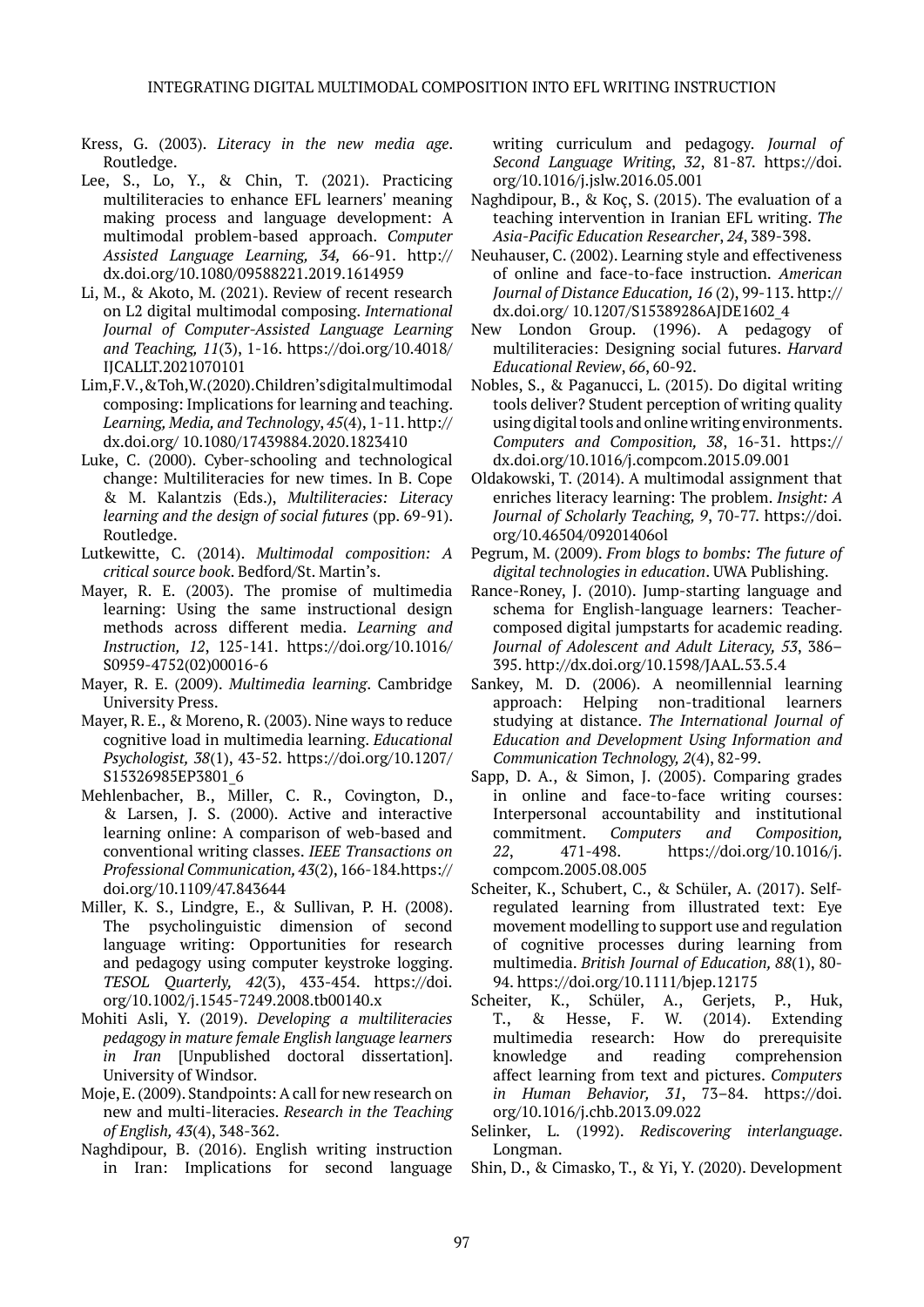- Kress, G. (2003). *Literacy in the new media age*. Routledge.
- Lee, S., Lo, Y., & Chin, T. (2021). Practicing multiliteracies to enhance EFL learners' meaning making process and language development: A multimodal problem-based approach. *Computer Assisted Language Learning, 34,* 66-91. http:// dx.doi.org/10.1080/09588221.2019.1614959
- Li, M., & Akoto, M. (2021). Review of recent research on L2 digital multimodal composing. *International Journal of Computer-Assisted Language Learning and Teaching, 11*(3), 1-16. https://doi.org/10.4018/ IJCALLT.2021070101
- Lim, F. V., & Toh, W. (2020). Children's digital multimodal composing: Implications for learning and teaching. *Learning, Media, and Technology*, *45*(4), 1-11. http:// dx.doi.org/ 10.1080/17439884.2020.1823410
- Luke, C. (2000). Cyber-schooling and technological change: Multiliteracies for new times. In B. Cope & M. Kalantzis (Eds.), *Multiliteracies: Literacy learning and the design of social futures* (pp. 69-91). Routledge.
- Lutkewitte, C. (2014). *Multimodal composition: A critical source book*. Bedford/St. Martin's.
- Mayer, R. E. (2003). The promise of multimedia learning: Using the same instructional design methods across different media. *Learning and Instruction, 12*, 125-141. https://doi.org/10.1016/ S0959-4752(02)00016-6
- Mayer, R. E. (2009). *Multimedia learning*. Cambridge University Press.
- Mayer, R. E., & Moreno, R. (2003). Nine ways to reduce cognitive load in multimedia learning. *Educational Psychologist, 38*(1), 43-52. https://doi.org/10.1207/ S15326985EP3801\_6
- Mehlenbacher, B., Miller, C. R., Covington, D., & Larsen, J. S. (2000). Active and interactive learning online: A comparison of web-based and conventional writing classes. *IEEE Transactions on Professional Communication, 43*(2), 166-184.https:// doi.org/10.1109/47.843644
- Miller, K. S., Lindgre, E., & Sullivan, P. H. (2008). The psycholinguistic dimension of second language writing: Opportunities for research and pedagogy using computer keystroke logging. *TESOL Quarterly, 42*(3), 433-454. https://doi. org/10.1002/j.1545-7249.2008.tb00140.x
- Mohiti Asli, Y. (2019). *Developing a multiliteracies pedagogy in mature female English language learners in Iran* [Unpublished doctoral dissertation]. University of Windsor.
- Moje, E. (2009). Standpoints: A call for new research on new and multi-literacies. *Research in the Teaching of English, 43*(4), 348-362.
- Naghdipour, B. (2016). English writing instruction in Iran: Implications for second language

writing curriculum and pedagogy. *Journal of Second Language Writing*, *32*, 81-87. https://doi. org/10.1016/j.jslw.2016.05.001

- Naghdipour, B., & Koç, S. (2015). The evaluation of a teaching intervention in Iranian EFL writing. *The Asia-Pacific Education Researcher*, *24*, 389-398.
- Neuhauser, C. (2002). Learning style and effectiveness of online and face-to-face instruction. *American Journal of Distance Education, 16* (2), 99-113. http:// dx.doi.org/ 10.1207/S15389286AJDE1602\_4
- New London Group. (1996). A pedagogy of multiliteracies: Designing social futures. *Harvard Educational Review*, *66*, 60-92.
- Nobles, S., & Paganucci, L. (2015). Do digital writing tools deliver? Student perception of writing quality using digital tools and online writing environments. *Computers and Composition, 38*, 16-31. https:// dx.doi.org/10.1016/j.compcom.2015.09.001
- Oldakowski, T. (2014). A multimodal assignment that enriches literacy learning: The problem. *Insight: A Journal of Scholarly Teaching, 9*, 70-77. https://doi. org/10.46504/09201406ol
- Pegrum, M. (2009). *From blogs to bombs: The future of digital technologies in education*. UWA Publishing.
- Rance-Roney, J. (2010). Jump-starting language and schema for English-language learners: Teachercomposed digital jumpstarts for academic reading. *Journal of Adolescent and Adult Literacy, 53*, 386– 395. http://dx.doi.org/10.1598/JAAL.53.5.4
- Sankey, M. D. (2006). A neomillennial learning approach: Helping non-traditional learners studying at distance. *The International Journal of Education and Development Using Information and Communication Technology, 2*(4), 82-99.
- Sapp, D. A., & Simon, J. (2005). Comparing grades in online and face-to-face writing courses: Interpersonal accountability and institutional commitment. *Computers and Composition, 22*, 471-498. https://doi.org/10.1016/j. compcom.2005.08.005
- Scheiter, K., Schubert, C., & Schüler, A. (2017). Selfregulated learning from illustrated text: Eye movement modelling to support use and regulation of cognitive processes during learning from multimedia. *British Journal of Education, 88*(1), 80- 94. https://doi.org/10.1111/bjep.12175
- Scheiter, K., Schüler, A., Gerjets, P., Huk, T., & Hesse, F. W. (2014). Extending multimedia research: How do prerequisite knowledge and reading comprehension affect learning from text and pictures. *Computers in Human Behavior, 31*, 73–84. https://doi. org/10.1016/j.chb.2013.09.022
- Selinker, L. (1992). *Rediscovering interlanguage*. Longman.
- Shin, D., & Cimasko, T., & Yi, Y. (2020). Development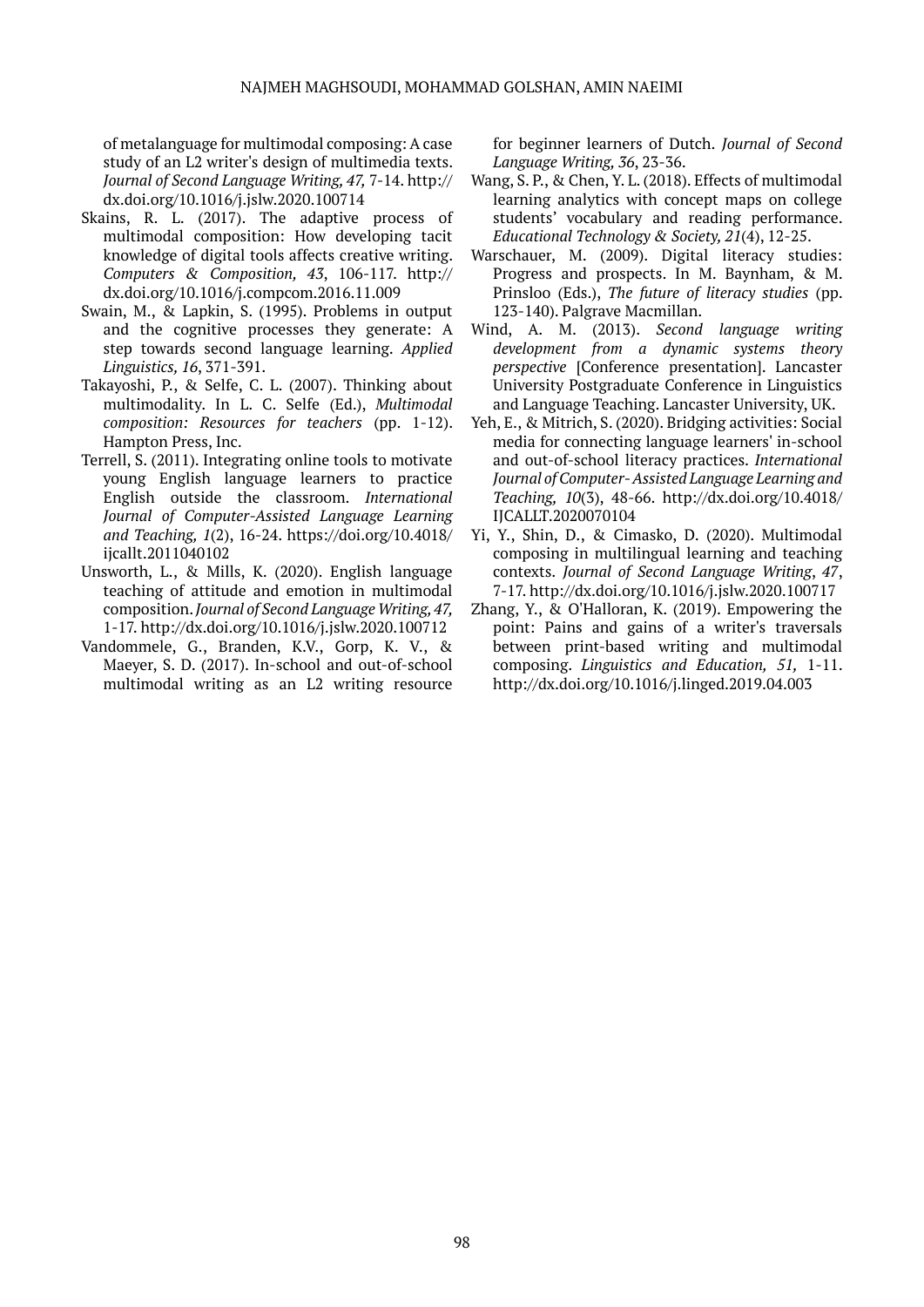of metalanguage for multimodal composing: A case study of an L2 writer's design of multimedia texts. *Journal of Second Language Writing, 47,* 7-14. http:// dx.doi.org/10.1016/j.jslw.2020.100714

- Skains, R. L. (2017). The adaptive process of multimodal composition: How developing tacit knowledge of digital tools affects creative writing. *Computers & Composition, 43*, 106-117. http:// dx.doi.org/10.1016/j.compcom.2016.11.009
- Swain, M., & Lapkin, S. (1995). Problems in output and the cognitive processes they generate: A step towards second language learning. *Applied Linguistics, 16*, 371-391.
- Takayoshi, P., & Selfe, C. L. (2007). Thinking about multimodality. In L. C. Selfe (Ed.), *Multimodal composition: Resources for teachers* (pp. 1-12). Hampton Press, Inc.
- Terrell, S. (2011). Integrating online tools to motivate young English language learners to practice English outside the classroom. *International Journal of Computer-Assisted Language Learning and Teaching, 1*(2), 16-24. https://doi.org/10.4018/ ijcallt.2011040102
- Unsworth, L., & Mills, K. (2020). English language teaching of attitude and emotion in multimodal composition. *Journal of Second Language Writing, 47,*  1-17. http://dx.doi.org/10.1016/j.jslw.2020.100712
- Vandommele, G., Branden, K.V., Gorp, K. V., & Maeyer, S. D. (2017). In-school and out-of-school multimodal writing as an L2 writing resource

for beginner learners of Dutch. *Journal of Second Language Writing, 36*, 23-36.

- Wang, S. P., & Chen, Y. L. (2018). Effects of multimodal learning analytics with concept maps on college students' vocabulary and reading performance. *Educational Technology & Society, 21*(4), 12-25.
- Warschauer, M. (2009). Digital literacy studies: Progress and prospects. In M. Baynham, & M. Prinsloo (Eds.), *The future of literacy studies* (pp. 123-140). Palgrave Macmillan.
- Wind, A. M. (2013). *Second language writing development from a dynamic systems theory perspective* [Conference presentation]. Lancaster University Postgraduate Conference in Linguistics and Language Teaching. Lancaster University, UK.
- Yeh, E., & Mitrich, S. (2020). Bridging activities: Social media for connecting language learners' in-school and out-of-school literacy practices. *International Journal of Computer- Assisted Language Learning and Teaching, 10*(3), 48-66. http://dx.doi.org/10.4018/ IJCALLT.2020070104
- Yi, Y., Shin, D., & Cimasko, D. (2020). Multimodal composing in multilingual learning and teaching contexts. *Journal of Second Language Writing*, *47*, 7-17. http://dx.doi.org/10.1016/j.jslw.2020.100717
- Zhang, Y., & O'Halloran, K. (2019). Empowering the point: Pains and gains of a writer's traversals between print-based writing and multimodal composing. *Linguistics and Education, 51,* 1-11. http://dx.doi.org/10.1016/j.linged.2019.04.003